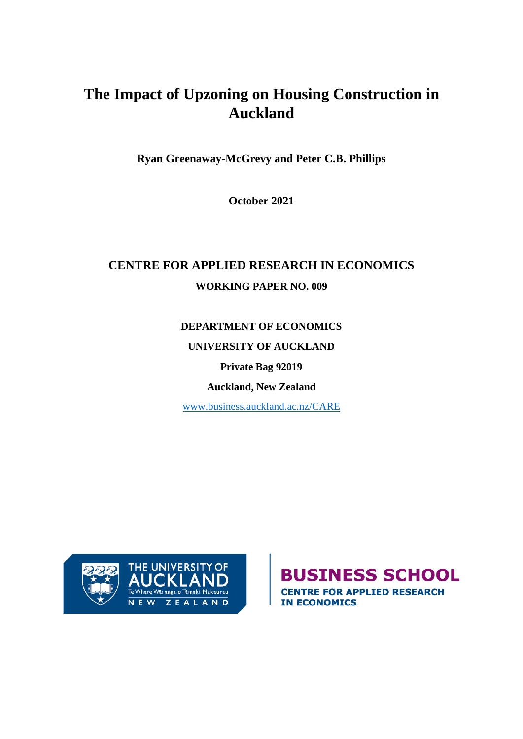# **The Impact of Upzoning on Housing Construction in Auckland**

**Ryan Greenaway-McGrevy and Peter C.B. Phillips**

**October 2021**

## **CENTRE FOR APPLIED RESEARCH IN ECONOMICS WORKING PAPER NO. 009**

**DEPARTMENT OF ECONOMICS**

**UNIVERSITY OF AUCKLAND**

**Private Bag 92019**

**Auckland, New Zealand**

[www.business.auckland.ac.nz/CARE](http://www.business.auckland.ac.nz/CARE)



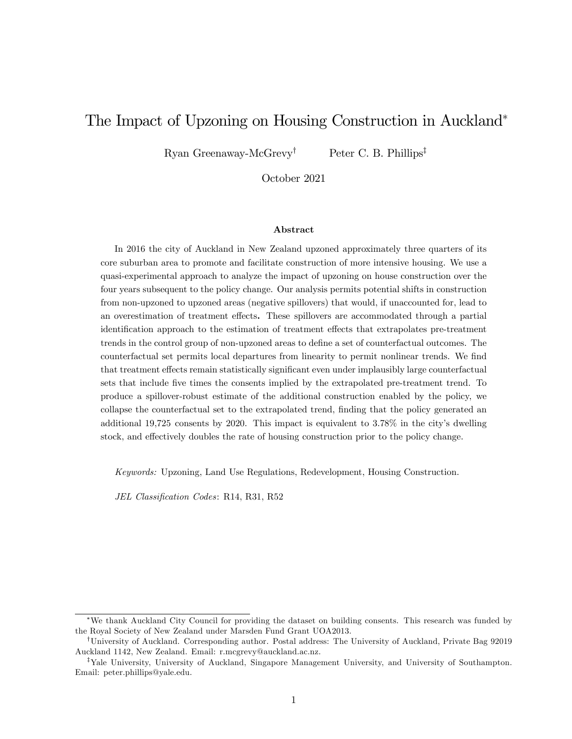## The Impact of Upzoning on Housing Construction in Auckland

Ryan Greenaway-McGrevy<sup>†</sup> Peter C. B. Phillips<sup>‡</sup>

October 2021

#### Abstract

In 2016 the city of Auckland in New Zealand upzoned approximately three quarters of its core suburban area to promote and facilitate construction of more intensive housing. We use a quasi-experimental approach to analyze the impact of upzoning on house construction over the four years subsequent to the policy change. Our analysis permits potential shifts in construction from non-upzoned to upzoned areas (negative spillovers) that would, if unaccounted for, lead to an overestimation of treatment effects. These spillovers are accommodated through a partial identification approach to the estimation of treatment effects that extrapolates pre-treatment trends in the control group of non-upzoned areas to define a set of counterfactual outcomes. The counterfactual set permits local departures from linearity to permit nonlinear trends. We find that treatment effects remain statistically significant even under implausibly large counterfactual sets that include five times the consents implied by the extrapolated pre-treatment trend. To produce a spillover-robust estimate of the additional construction enabled by the policy, we collapse the counterfactual set to the extrapolated trend, finding that the policy generated an additional 19,725 consents by 2020. This impact is equivalent to  $3.78\%$  in the city's dwelling stock, and effectively doubles the rate of housing construction prior to the policy change.

Keywords: Upzoning, Land Use Regulations, Redevelopment, Housing Construction.

JEL Classification Codes: R14, R31, R52

We thank Auckland City Council for providing the dataset on building consents. This research was funded by the Royal Society of New Zealand under Marsden Fund Grant UOA2013.

<sup>&</sup>lt;sup>†</sup>University of Auckland. Corresponding author. Postal address: The University of Auckland, Private Bag 92019 Auckland 1142, New Zealand. Email: r.mcgrevy@auckland.ac.nz.

<sup>&</sup>lt;sup>‡</sup>Yale University, University of Auckland, Singapore Management University, and University of Southampton. Email: peter.phillips@yale.edu.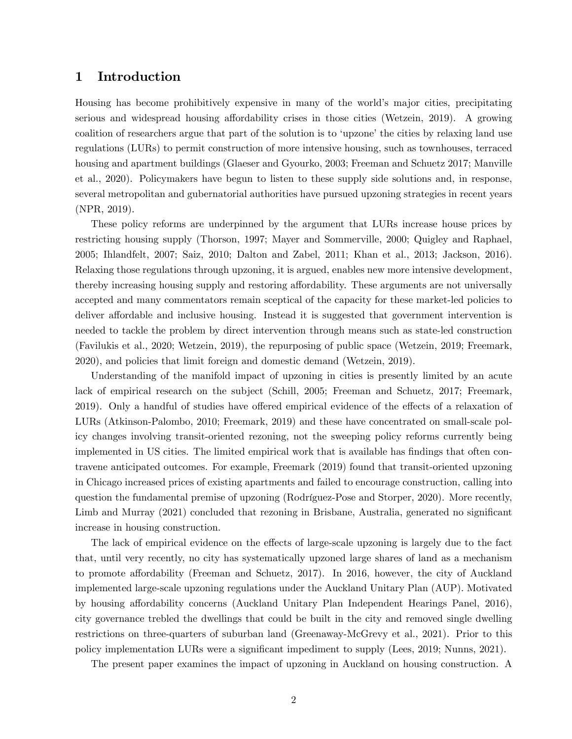## 1 Introduction

Housing has become prohibitively expensive in many of the world's major cities, precipitating serious and widespread housing affordability crises in those cities (Wetzein, 2019). A growing coalition of researchers argue that part of the solution is to 'upzone' the cities by relaxing land use regulations (LURs) to permit construction of more intensive housing, such as townhouses, terraced housing and apartment buildings (Glaeser and Gyourko, 2003; Freeman and Schuetz 2017; Manville et al., 2020). Policymakers have begun to listen to these supply side solutions and, in response, several metropolitan and gubernatorial authorities have pursued upzoning strategies in recent years (NPR, 2019).

These policy reforms are underpinned by the argument that LURs increase house prices by restricting housing supply (Thorson, 1997; Mayer and Sommerville, 2000; Quigley and Raphael, 2005; Ihlandfelt, 2007; Saiz, 2010; Dalton and Zabel, 2011; Khan et al., 2013; Jackson, 2016). Relaxing those regulations through upzoning, it is argued, enables new more intensive development, thereby increasing housing supply and restoring affordability. These arguments are not universally accepted and many commentators remain sceptical of the capacity for these market-led policies to deliver affordable and inclusive housing. Instead it is suggested that government intervention is needed to tackle the problem by direct intervention through means such as state-led construction (Favilukis et al., 2020; Wetzein, 2019), the repurposing of public space (Wetzein, 2019; Freemark, 2020), and policies that limit foreign and domestic demand (Wetzein, 2019).

Understanding of the manifold impact of upzoning in cities is presently limited by an acute lack of empirical research on the subject (Schill, 2005; Freeman and Schuetz, 2017; Freemark, 2019). Only a handful of studies have offered empirical evidence of the effects of a relaxation of LURs (Atkinson-Palombo, 2010; Freemark, 2019) and these have concentrated on small-scale policy changes involving transit-oriented rezoning, not the sweeping policy reforms currently being implemented in US cities. The limited empirical work that is available has findings that often contravene anticipated outcomes. For example, Freemark (2019) found that transit-oriented upzoning in Chicago increased prices of existing apartments and failed to encourage construction, calling into question the fundamental premise of upzoning (Rodríguez-Pose and Storper, 2020). More recently, Limb and Murray (2021) concluded that rezoning in Brisbane, Australia, generated no significant increase in housing construction.

The lack of empirical evidence on the effects of large-scale upzoning is largely due to the fact that, until very recently, no city has systematically upzoned large shares of land as a mechanism to promote affordability (Freeman and Schuetz, 2017). In 2016, however, the city of Auckland implemented large-scale upzoning regulations under the Auckland Unitary Plan (AUP). Motivated by housing affordability concerns (Auckland Unitary Plan Independent Hearings Panel, 2016), city governance trebled the dwellings that could be built in the city and removed single dwelling restrictions on three-quarters of suburban land (Greenaway-McGrevy et al., 2021). Prior to this policy implementation LURs were a significant impediment to supply (Lees, 2019; Nunns, 2021).

The present paper examines the impact of upzoning in Auckland on housing construction. A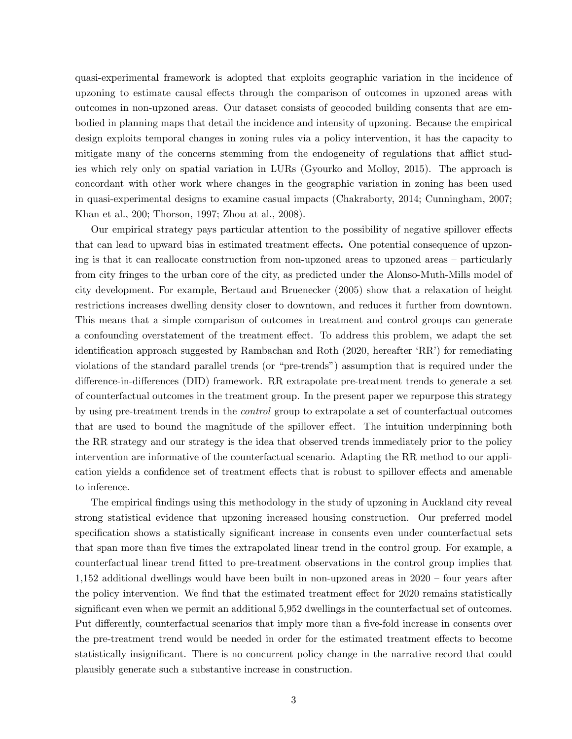quasi-experimental framework is adopted that exploits geographic variation in the incidence of upzoning to estimate causal effects through the comparison of outcomes in upzoned areas with outcomes in non-upzoned areas. Our dataset consists of geocoded building consents that are embodied in planning maps that detail the incidence and intensity of upzoning. Because the empirical design exploits temporal changes in zoning rules via a policy intervention, it has the capacity to mitigate many of the concerns stemming from the endogeneity of regulations that afflict studies which rely only on spatial variation in LURs (Gyourko and Molloy, 2015). The approach is concordant with other work where changes in the geographic variation in zoning has been used in quasi-experimental designs to examine casual impacts (Chakraborty, 2014; Cunningham, 2007; Khan et al., 200; Thorson, 1997; Zhou at al., 2008).

Our empirical strategy pays particular attention to the possibility of negative spillover effects that can lead to upward bias in estimated treatment effects. One potential consequence of upzoning is that it can reallocate construction from non-upzoned areas to upzoned areas  $-$  particularly from city fringes to the urban core of the city, as predicted under the Alonso-Muth-Mills model of city development. For example, Bertaud and Bruenecker (2005) show that a relaxation of height restrictions increases dwelling density closer to downtown, and reduces it further from downtown. This means that a simple comparison of outcomes in treatment and control groups can generate a confounding overstatement of the treatment effect. To address this problem, we adapt the set identification approach suggested by Rambachan and Roth  $(2020,$  hereafter  $fRR'$ ) for remediating violations of the standard parallel trends (or "pre-trends") assumption that is required under the difference-in-differences (DID) framework. RR extrapolate pre-treatment trends to generate a set of counterfactual outcomes in the treatment group. In the present paper we repurpose this strategy by using pre-treatment trends in the control group to extrapolate a set of counterfactual outcomes that are used to bound the magnitude of the spillover effect. The intuition underpinning both the RR strategy and our strategy is the idea that observed trends immediately prior to the policy intervention are informative of the counterfactual scenario. Adapting the RR method to our application yields a confidence set of treatment effects that is robust to spillover effects and amenable to inference.

The empirical findings using this methodology in the study of upzoning in Auckland city reveal strong statistical evidence that upzoning increased housing construction. Our preferred model specification shows a statistically significant increase in consents even under counterfactual sets that span more than five times the extrapolated linear trend in the control group. For example, a counterfactual linear trend Ötted to pre-treatment observations in the control group implies that  $1,152$  additional dwellings would have been built in non-upzoned areas in  $2020 - 60$  four years after the policy intervention. We find that the estimated treatment effect for 2020 remains statistically significant even when we permit an additional 5,952 dwellings in the counterfactual set of outcomes. Put differently, counterfactual scenarios that imply more than a five-fold increase in consents over the pre-treatment trend would be needed in order for the estimated treatment effects to become statistically insignificant. There is no concurrent policy change in the narrative record that could plausibly generate such a substantive increase in construction.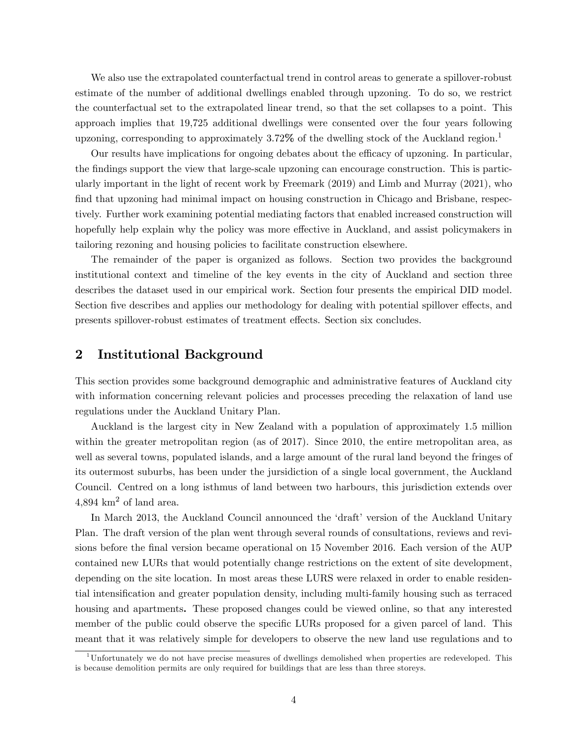We also use the extrapolated counterfactual trend in control areas to generate a spillover-robust estimate of the number of additional dwellings enabled through upzoning. To do so, we restrict the counterfactual set to the extrapolated linear trend, so that the set collapses to a point. This approach implies that 19,725 additional dwellings were consented over the four years following upzoning, corresponding to approximately 3.72% of the dwelling stock of the Auckland region.<sup>1</sup>

Our results have implications for ongoing debates about the efficacy of upzoning. In particular, the findings support the view that large-scale upzoning can encourage construction. This is particularly important in the light of recent work by Freemark (2019) and Limb and Murray (2021), who find that upzoning had minimal impact on housing construction in Chicago and Brisbane, respectively. Further work examining potential mediating factors that enabled increased construction will hopefully help explain why the policy was more effective in Auckland, and assist policymakers in tailoring rezoning and housing policies to facilitate construction elsewhere.

The remainder of the paper is organized as follows. Section two provides the background institutional context and timeline of the key events in the city of Auckland and section three describes the dataset used in our empirical work. Section four presents the empirical DID model. Section five describes and applies our methodology for dealing with potential spillover effects, and presents spillover-robust estimates of treatment effects. Section six concludes.

## 2 Institutional Background

This section provides some background demographic and administrative features of Auckland city with information concerning relevant policies and processes preceding the relaxation of land use regulations under the Auckland Unitary Plan.

Auckland is the largest city in New Zealand with a population of approximately 1.5 million within the greater metropolitan region (as of 2017). Since 2010, the entire metropolitan area, as well as several towns, populated islands, and a large amount of the rural land beyond the fringes of its outermost suburbs, has been under the jursidiction of a single local government, the Auckland Council. Centred on a long isthmus of land between two harbours, this jurisdiction extends over  $4,894 \text{ km}^2$  of land area.

In March 2013, the Auckland Council announced the 'draft' version of the Auckland Unitary Plan. The draft version of the plan went through several rounds of consultations, reviews and revisions before the final version became operational on 15 November 2016. Each version of the AUP contained new LURs that would potentially change restrictions on the extent of site development, depending on the site location. In most areas these LURS were relaxed in order to enable residential intensification and greater population density, including multi-family housing such as terraced housing and apartments. These proposed changes could be viewed online, so that any interested member of the public could observe the specific LURs proposed for a given parcel of land. This meant that it was relatively simple for developers to observe the new land use regulations and to

<sup>1</sup>Unfortunately we do not have precise measures of dwellings demolished when properties are redeveloped. This is because demolition permits are only required for buildings that are less than three storeys.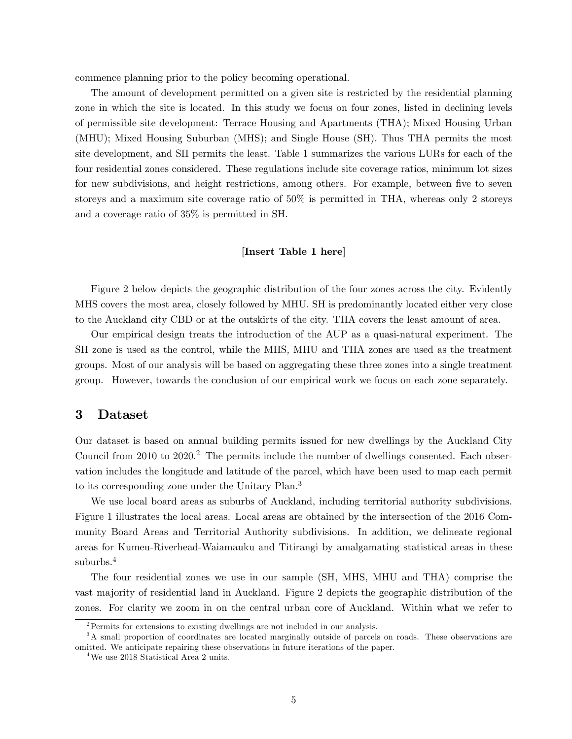commence planning prior to the policy becoming operational.

The amount of development permitted on a given site is restricted by the residential planning zone in which the site is located. In this study we focus on four zones, listed in declining levels of permissible site development: Terrace Housing and Apartments (THA); Mixed Housing Urban (MHU); Mixed Housing Suburban (MHS); and Single House (SH). Thus THA permits the most site development, and SH permits the least. Table 1 summarizes the various LURs for each of the four residential zones considered. These regulations include site coverage ratios, minimum lot sizes for new subdivisions, and height restrictions, among others. For example, between five to seven storeys and a maximum site coverage ratio of 50% is permitted in THA, whereas only 2 storeys and a coverage ratio of 35% is permitted in SH.

#### [Insert Table 1 here]

Figure 2 below depicts the geographic distribution of the four zones across the city. Evidently MHS covers the most area, closely followed by MHU. SH is predominantly located either very close to the Auckland city CBD or at the outskirts of the city. THA covers the least amount of area.

Our empirical design treats the introduction of the AUP as a quasi-natural experiment. The SH zone is used as the control, while the MHS, MHU and THA zones are used as the treatment groups. Most of our analysis will be based on aggregating these three zones into a single treatment group. However, towards the conclusion of our empirical work we focus on each zone separately.

## 3 Dataset

Our dataset is based on annual building permits issued for new dwellings by the Auckland City Council from  $2010$  to  $2020$ .<sup>2</sup> The permits include the number of dwellings consented. Each observation includes the longitude and latitude of the parcel, which have been used to map each permit to its corresponding zone under the Unitary Plan.<sup>3</sup>

We use local board areas as suburbs of Auckland, including territorial authority subdivisions. Figure 1 illustrates the local areas. Local areas are obtained by the intersection of the 2016 Community Board Areas and Territorial Authority subdivisions. In addition, we delineate regional areas for Kumeu-Riverhead-Waiamauku and Titirangi by amalgamating statistical areas in these suburbs.<sup>4</sup>

The four residential zones we use in our sample (SH, MHS, MHU and THA) comprise the vast majority of residential land in Auckland. Figure 2 depicts the geographic distribution of the zones. For clarity we zoom in on the central urban core of Auckland. Within what we refer to

 $2$ Permits for extensions to existing dwellings are not included in our analysis.

<sup>&</sup>lt;sup>3</sup>A small proportion of coordinates are located marginally outside of parcels on roads. These observations are omitted. We anticipate repairing these observations in future iterations of the paper.

<sup>&</sup>lt;sup>4</sup>We use 2018 Statistical Area 2 units.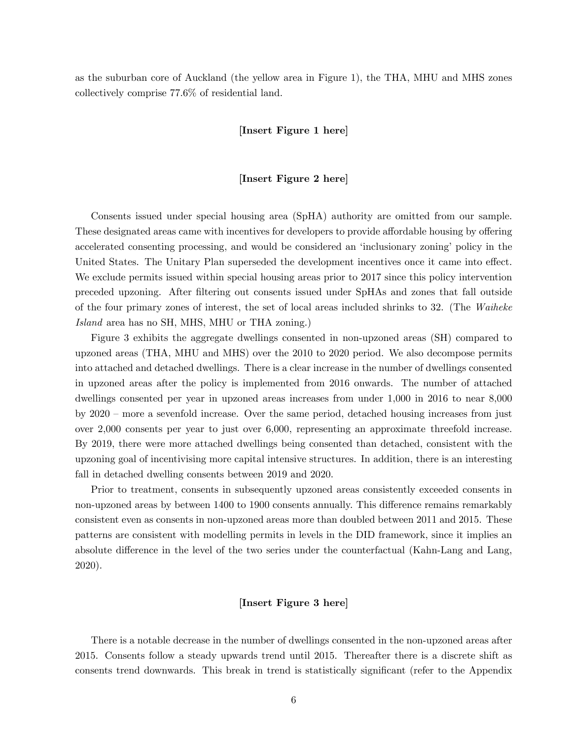as the suburban core of Auckland (the yellow area in Figure 1), the THA, MHU and MHS zones collectively comprise 77.6% of residential land.

#### [Insert Figure 1 here]

#### [Insert Figure 2 here]

Consents issued under special housing area (SpHA) authority are omitted from our sample. These designated areas came with incentives for developers to provide affordable housing by offering accelerated consenting processing, and would be considered an 'inclusionary zoning' policy in the United States. The Unitary Plan superseded the development incentives once it came into effect. We exclude permits issued within special housing areas prior to 2017 since this policy intervention preceded upzoning. After Öltering out consents issued under SpHAs and zones that fall outside of the four primary zones of interest, the set of local areas included shrinks to 32. (The Waiheke Island area has no SH, MHS, MHU or THA zoning.)

Figure 3 exhibits the aggregate dwellings consented in non-upzoned areas (SH) compared to upzoned areas (THA, MHU and MHS) over the 2010 to 2020 period. We also decompose permits into attached and detached dwellings. There is a clear increase in the number of dwellings consented in upzoned areas after the policy is implemented from 2016 onwards. The number of attached dwellings consented per year in upzoned areas increases from under 1,000 in 2016 to near 8,000 by  $2020$  – more a sevenfold increase. Over the same period, detached housing increases from just over 2,000 consents per year to just over 6,000, representing an approximate threefold increase. By 2019, there were more attached dwellings being consented than detached, consistent with the upzoning goal of incentivising more capital intensive structures. In addition, there is an interesting fall in detached dwelling consents between 2019 and 2020.

Prior to treatment, consents in subsequently upzoned areas consistently exceeded consents in non-upzoned areas by between 1400 to 1900 consents annually. This difference remains remarkably consistent even as consents in non-upzoned areas more than doubled between 2011 and 2015. These patterns are consistent with modelling permits in levels in the DID framework, since it implies an absolute difference in the level of the two series under the counterfactual (Kahn-Lang and Lang, 2020).

#### [Insert Figure 3 here]

There is a notable decrease in the number of dwellings consented in the non-upzoned areas after 2015. Consents follow a steady upwards trend until 2015. Thereafter there is a discrete shift as consents trend downwards. This break in trend is statistically significant (refer to the Appendix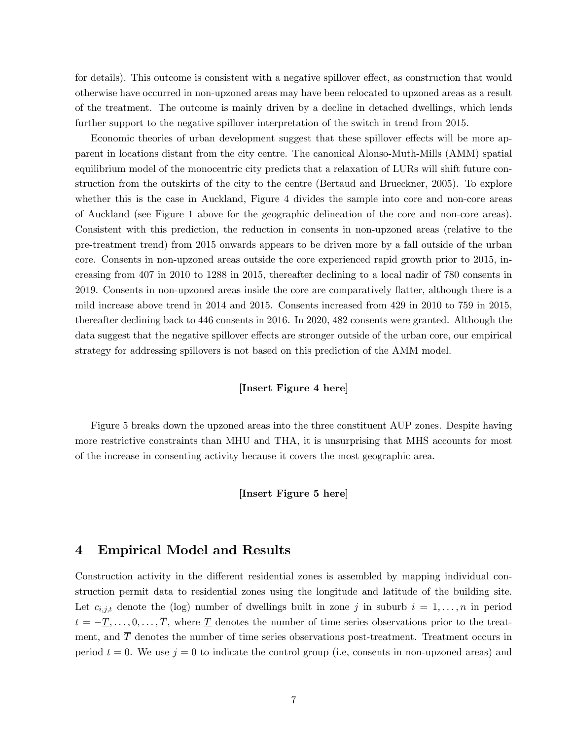for details). This outcome is consistent with a negative spillover effect, as construction that would otherwise have occurred in non-upzoned areas may have been relocated to upzoned areas as a result of the treatment. The outcome is mainly driven by a decline in detached dwellings, which lends further support to the negative spillover interpretation of the switch in trend from 2015.

Economic theories of urban development suggest that these spillover effects will be more apparent in locations distant from the city centre. The canonical Alonso-Muth-Mills (AMM) spatial equilibrium model of the monocentric city predicts that a relaxation of LURs will shift future construction from the outskirts of the city to the centre (Bertaud and Brueckner, 2005). To explore whether this is the case in Auckland, Figure 4 divides the sample into core and non-core areas of Auckland (see Figure 1 above for the geographic delineation of the core and non-core areas). Consistent with this prediction, the reduction in consents in non-upzoned areas (relative to the pre-treatment trend) from 2015 onwards appears to be driven more by a fall outside of the urban core. Consents in non-upzoned areas outside the core experienced rapid growth prior to 2015, increasing from 407 in 2010 to 1288 in 2015, thereafter declining to a local nadir of 780 consents in 2019. Consents in non-upzoned areas inside the core are comparatively flatter, although there is a mild increase above trend in 2014 and 2015. Consents increased from 429 in 2010 to 759 in 2015, thereafter declining back to 446 consents in 2016. In 2020, 482 consents were granted. Although the data suggest that the negative spillover effects are stronger outside of the urban core, our empirical strategy for addressing spillovers is not based on this prediction of the AMM model.

#### [Insert Figure 4 here]

Figure 5 breaks down the upzoned areas into the three constituent AUP zones. Despite having more restrictive constraints than MHU and THA, it is unsurprising that MHS accounts for most of the increase in consenting activity because it covers the most geographic area.

#### [Insert Figure 5 here]

### 4 Empirical Model and Results

Construction activity in the different residential zones is assembled by mapping individual construction permit data to residential zones using the longitude and latitude of the building site. Let  $c_{i,j,t}$  denote the (log) number of dwellings built in zone j in suburb  $i = 1, \ldots, n$  in period  $t = -\underline{T}, \ldots, 0, \ldots, \overline{T}$ , where  $\underline{T}$  denotes the number of time series observations prior to the treatment, and  $\overline{T}$  denotes the number of time series observations post-treatment. Treatment occurs in period  $t = 0$ . We use  $j = 0$  to indicate the control group (i.e, consents in non-upzoned areas) and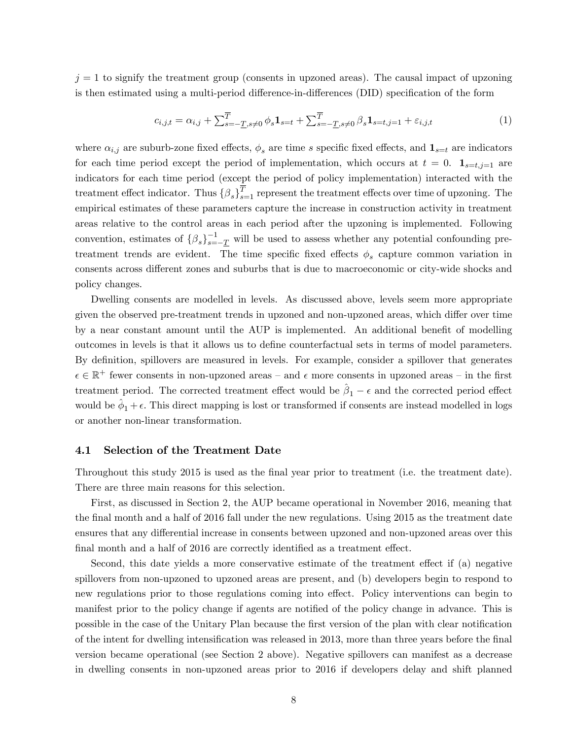$j = 1$  to signify the treatment group (consents in upzoned areas). The causal impact of upzoning is then estimated using a multi-period difference-in-differences (DID) specification of the form

$$
c_{i,j,t} = \alpha_{i,j} + \sum_{s=-\underline{T}, s \neq 0}^{\overline{T}} \phi_s \mathbf{1}_{s=t} + \sum_{s=-\underline{T}, s \neq 0}^{\overline{T}} \beta_s \mathbf{1}_{s=t,j=1} + \varepsilon_{i,j,t}
$$
(1)

where  $\alpha_{i,j}$  are suburb-zone fixed effects,  $\phi_s$  are time s specific fixed effects, and  $\mathbf{1}_{s=t}$  are indicators for each time period except the period of implementation, which occurs at  $t = 0$ .  $\mathbf{1}_{s=t,j=1}$  are indicators for each time period (except the period of policy implementation) interacted with the treatment effect indicator. Thus  $\{\beta_s\}_{s=1}^T$  represent the treatment effects over time of upzoning. The empirical estimates of these parameters capture the increase in construction activity in treatment areas relative to the control areas in each period after the upzoning is implemented. Following convention, estimates of  $\{\beta_s\}_{s=-\underline{T}}^{-1}$  will be used to assess whether any potential confounding pretreatment trends are evident. The time specific fixed effects  $\phi_s$  capture common variation in consents across different zones and suburbs that is due to macroeconomic or city-wide shocks and policy changes.

Dwelling consents are modelled in levels. As discussed above, levels seem more appropriate given the observed pre-treatment trends in upzoned and non-upzoned areas, which differ over time by a near constant amount until the AUP is implemented. An additional benefit of modelling outcomes in levels is that it allows us to define counterfactual sets in terms of model parameters. By definition, spillovers are measured in levels. For example, consider a spillover that generates  $\epsilon \in \mathbb{R}^+$  fewer consents in non-upzoned areas – and  $\epsilon$  more consents in upzoned areas – in the first treatment period. The corrected treatment effect would be  $\hat{\beta}_1 - \epsilon$  and the corrected period effect would be  $\hat{\phi}_1 + \epsilon$ . This direct mapping is lost or transformed if consents are instead modelled in logs or another non-linear transformation.

#### 4.1 Selection of the Treatment Date

Throughout this study 2015 is used as the final year prior to treatment (i.e. the treatment date). There are three main reasons for this selection.

First, as discussed in Section 2, the AUP became operational in November 2016, meaning that the final month and a half of 2016 fall under the new regulations. Using 2015 as the treatment date ensures that any differential increase in consents between upzoned and non-upzoned areas over this final month and a half of 2016 are correctly identified as a treatment effect.

Second, this date yields a more conservative estimate of the treatment effect if  $(a)$  negative spillovers from non-upzoned to upzoned areas are present, and (b) developers begin to respond to new regulations prior to those regulations coming into effect. Policy interventions can begin to manifest prior to the policy change if agents are notified of the policy change in advance. This is possible in the case of the Unitary Plan because the first version of the plan with clear notification of the intent for dwelling intensification was released in 2013, more than three years before the final version became operational (see Section 2 above). Negative spillovers can manifest as a decrease in dwelling consents in non-upzoned areas prior to 2016 if developers delay and shift planned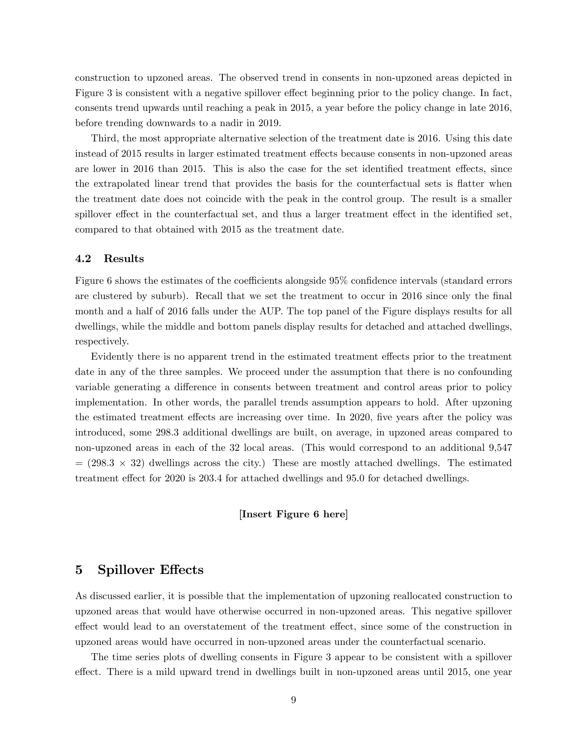construction to upzoned areas. The observed trend in consents in non-upzoned areas depicted in Figure 3 is consistent with a negative spillover effect beginning prior to the policy change. In fact, consents trend upwards until reaching a peak in 2015, a year before the policy change in late 2016, before trending downwards to a nadir in 2019.

Third, the most appropriate alternative selection of the treatment date is 2016. Using this date instead of 2015 results in larger estimated treatment effects because consents in non-upzoned areas are lower in 2016 than 2015. This is also the case for the set identified treatment effects, since the extrapolated linear trend that provides the basis for the counterfactual sets is flatter when the treatment date does not coincide with the peak in the control group. The result is a smaller spillover effect in the counterfactual set, and thus a larger treatment effect in the identified set, compared to that obtained with 2015 as the treatment date.

#### 4.2 Results

Figure 6 shows the estimates of the coefficients alongside 95% confidence intervals (standard errors are clustered by suburb). Recall that we set the treatment to occur in 2016 since only the final month and a half of 2016 falls under the AUP. The top panel of the Figure displays results for all dwellings, while the middle and bottom panels display results for detached and attached dwellings, respectively.

Evidently there is no apparent trend in the estimated treatment effects prior to the treatment date in any of the three samples. We proceed under the assumption that there is no confounding variable generating a difference in consents between treatment and control areas prior to policy implementation. In other words, the parallel trends assumption appears to hold. After upzoning the estimated treatment effects are increasing over time. In 2020, five years after the policy was introduced, some 298.3 additional dwellings are built, on average, in upzoned areas compared to non-upzoned areas in each of the 32 local areas. (This would correspond to an additional 9,547  $= (298.3 \times 32)$  dwellings across the city.) These are mostly attached dwellings. The estimated treatment effect for 2020 is 203.4 for attached dwellings and 95.0 for detached dwellings.

#### [Insert Figure 6 here]

## 5 Spillover Effects

As discussed earlier, it is possible that the implementation of upzoning reallocated construction to upzoned areas that would have otherwise occurred in non-upzoned areas. This negative spillover effect would lead to an overstatement of the treatment effect, since some of the construction in upzoned areas would have occurred in non-upzoned areas under the counterfactual scenario.

The time series plots of dwelling consents in Figure 3 appear to be consistent with a spillover effect. There is a mild upward trend in dwellings built in non-upzoned areas until 2015, one year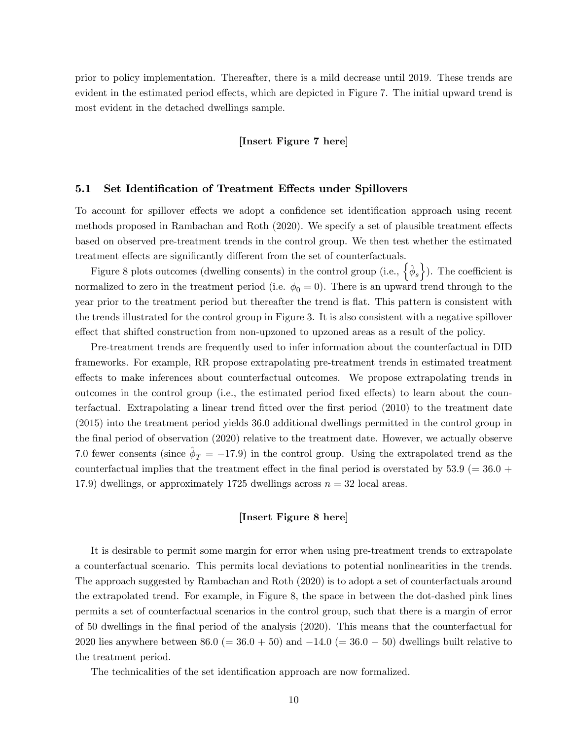prior to policy implementation. Thereafter, there is a mild decrease until 2019. These trends are evident in the estimated period effects, which are depicted in Figure 7. The initial upward trend is most evident in the detached dwellings sample.

#### [Insert Figure 7 here]

#### 5.1 Set Identification of Treatment Effects under Spillovers

To account for spillover effects we adopt a confidence set identification approach using recent methods proposed in Rambachan and Roth (2020). We specify a set of plausible treatment effects based on observed pre-treatment trends in the control group. We then test whether the estimated treatment effects are significantly different from the set of counterfactuals.

Figure 8 plots outcomes (dwelling consents) in the control group (i.e.,  $\{\hat{\phi}_s\}$ ). The coefficient is normalized to zero in the treatment period (i.e.  $\phi_0 = 0$ ). There is an upward trend through to the year prior to the treatment period but thereafter the trend is flat. This pattern is consistent with the trends illustrated for the control group in Figure 3. It is also consistent with a negative spillover effect that shifted construction from non-upzoned to upzoned areas as a result of the policy.

Pre-treatment trends are frequently used to infer information about the counterfactual in DID frameworks. For example, RR propose extrapolating pre-treatment trends in estimated treatment effects to make inferences about counterfactual outcomes. We propose extrapolating trends in outcomes in the control group (i.e., the estimated period fixed effects) to learn about the counterfactual. Extrapolating a linear trend fitted over the first period (2010) to the treatment date (2015) into the treatment period yields 36.0 additional dwellings permitted in the control group in the final period of observation (2020) relative to the treatment date. However, we actually observe 7.0 fewer consents (since  $\hat{\phi}_{\overline{T}} = -17.9$ ) in the control group. Using the extrapolated trend as the counterfactual implies that the treatment effect in the final period is overstated by  $53.9 (= 36.0 +$ 17.9) dwellings, or approximately 1725 dwellings across  $n = 32$  local areas.

#### [Insert Figure 8 here]

It is desirable to permit some margin for error when using pre-treatment trends to extrapolate a counterfactual scenario. This permits local deviations to potential nonlinearities in the trends. The approach suggested by Rambachan and Roth (2020) is to adopt a set of counterfactuals around the extrapolated trend. For example, in Figure 8, the space in between the dot-dashed pink lines permits a set of counterfactual scenarios in the control group, such that there is a margin of error of 50 dwellings in the Önal period of the analysis (2020). This means that the counterfactual for 2020 lies anywhere between 86.0 (= 36.0 + 50) and  $-14.0$  (= 36.0 - 50) dwellings built relative to the treatment period.

The technicalities of the set identification approach are now formalized.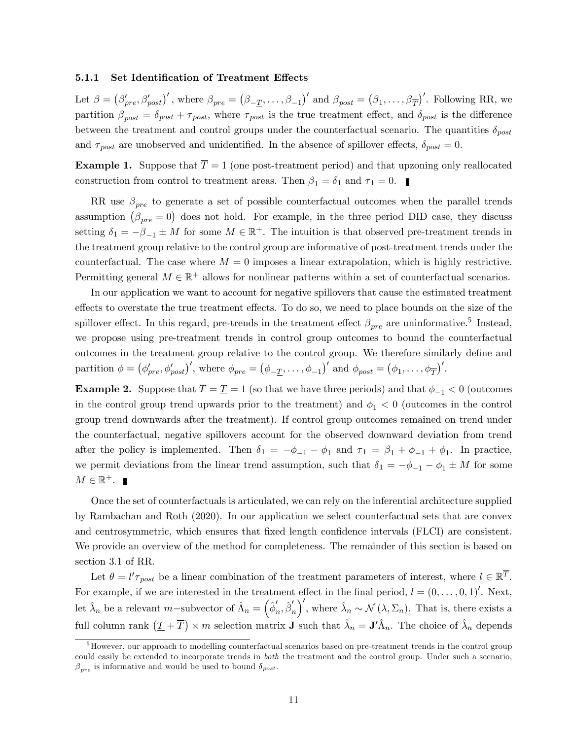#### 5.1.1 Set Identification of Treatment Effects

Let  $\beta = (\beta'_{pre}, \beta'_{post})'$ , where  $\beta_{pre} = (\beta_{\mathcal{I}_{\mathcal{I}}}, \dots, \beta_{-1})'$  and  $\beta_{post} = (\beta_1, \dots, \beta_{\overline{T}})'$ . Following RR, we partition  $\beta_{post} = \delta_{post} + \tau_{post}$ , where  $\tau_{post}$  is the true treatment effect, and  $\delta_{post}$  is the difference between the treatment and control groups under the counterfactual scenario. The quantities  $\delta_{post}$ and  $\tau_{post}$  are unobserved and unidentified. In the absence of spillover effects,  $\delta_{post} = 0$ .

**Example 1.** Suppose that  $\overline{T} = 1$  (one post-treatment period) and that upzoning only reallocated construction from control to treatment areas. Then  $\beta_1 = \delta_1$  and  $\tau_1 = 0$ .

RR use  $\beta_{pre}$  to generate a set of possible counterfactual outcomes when the parallel trends assumption  $(\beta_{pre} = 0)$  does not hold. For example, in the three period DID case, they discuss setting  $\delta_1 = -\beta_{-1} \pm M$  for some  $M \in \mathbb{R}^+$ . The intuition is that observed pre-treatment trends in the treatment group relative to the control group are informative of post-treatment trends under the counterfactual. The case where  $M = 0$  imposes a linear extrapolation, which is highly restrictive. Permitting general  $M \in \mathbb{R}^+$  allows for nonlinear patterns within a set of counterfactual scenarios.

In our application we want to account for negative spillovers that cause the estimated treatment effects to overstate the true treatment effects. To do so, we need to place bounds on the size of the spillover effect. In this regard, pre-trends in the treatment effect  $\beta_{pre}$  are uninformative.<sup>5</sup> Instead, we propose using pre-treatment trends in control group outcomes to bound the counterfactual outcomes in the treatment group relative to the control group. We therefore similarly define and partition  $\phi = (\phi'_{pre}, \phi'_{post})'$ , where  $\phi_{pre} = (\phi_{-\underline{T}}, \dots, \phi_{-1})'$  and  $\phi_{post} = (\phi_1, \dots, \phi_{\overline{T}})'$ .

**Example 2.** Suppose that  $\overline{T} = \underline{T} = 1$  (so that we have three periods) and that  $\phi_{-1} < 0$  (outcomes in the control group trend upwards prior to the treatment) and  $\phi_1 < 0$  (outcomes in the control group trend downwards after the treatment). If control group outcomes remained on trend under the counterfactual, negative spillovers account for the observed downward deviation from trend after the policy is implemented. Then  $\delta_1 = -\phi_{-1} - \phi_1$  and  $\tau_1 = \beta_1 + \phi_{-1} + \phi_1$ . In practice, we permit deviations from the linear trend assumption, such that  $\delta_1 = -\phi_{-1} - \phi_1 \pm M$  for some  $M \in \mathbb{R}^+$ .

Once the set of counterfactuals is articulated, we can rely on the inferential architecture supplied by Rambachan and Roth (2020). In our application we select counterfactual sets that are convex and centrosymmetric, which ensures that fixed length confidence intervals (FLCI) are consistent. We provide an overview of the method for completeness. The remainder of this section is based on section 3.1 of RR.

Let  $\theta = l' \tau_{post}$  be a linear combination of the treatment parameters of interest, where  $l \in \mathbb{R}^{T}$ . For example, if we are interested in the treatment effect in the final period,  $l = (0, \ldots, 0, 1)'$ . Next, let  $\hat{\lambda}_n$  be a relevant m–subvector of  $\hat{\Lambda}_n = \left(\hat{\phi}'_n, \hat{\beta}'_n\right)$  $\int'$ , where  $\hat{\lambda}_n \sim \mathcal{N}(\lambda, \Sigma_n)$ . That is, there exists a full column rank  $(\underline{T} + \overline{T}) \times m$  selection matrix **J** such that  $\hat{\lambda}_n = \mathbf{J}' \hat{\Lambda}_n$ . The choice of  $\hat{\lambda}_n$  depends

 $<sup>5</sup>$  However, our approach to modelling counterfactual scenarios based on pre-treatment trends in the control group</sup> could easily be extended to incorporate trends in both the treatment and the control group. Under such a scenario,  $\beta_{pre}$  is informative and would be used to bound  $\delta_{post}$ .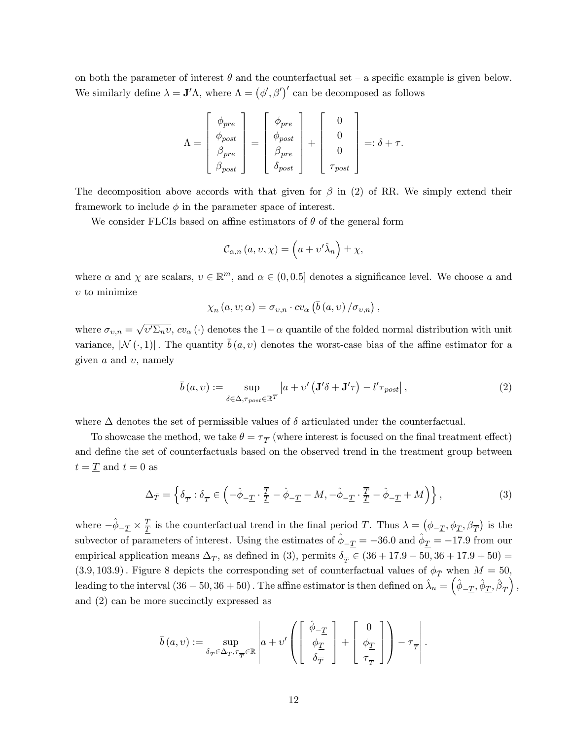on both the parameter of interest  $\theta$  and the counterfactual set – a specific example is given below. We similarly define  $\lambda = \mathbf{J}'\Lambda$ , where  $\Lambda = (\phi', \beta')'$  can be decomposed as follows

$$
\Lambda = \left[ \begin{array}{c} \phi_{pre} \\ \phi_{post} \\ \beta_{pre} \\ \beta_{post} \end{array} \right] = \left[ \begin{array}{c} \phi_{pre} \\ \phi_{post} \\ \beta_{pre} \\ \delta_{post} \end{array} \right] + \left[ \begin{array}{c} 0 \\ 0 \\ 0 \\ \tau_{post} \end{array} \right] =: \delta + \tau.
$$

The decomposition above accords with that given for  $\beta$  in (2) of RR. We simply extend their framework to include  $\phi$  in the parameter space of interest.

We consider FLCIs based on affine estimators of  $\theta$  of the general form

$$
\mathcal{C}_{\alpha,n}(a,v,\chi) = \left(a + v'\hat{\lambda}_n\right) \pm \chi,
$$

where  $\alpha$  and  $\chi$  are scalars,  $v \in \mathbb{R}^m$ , and  $\alpha \in (0, 0.5]$  denotes a significance level. We choose  $a$  and  $v$  to minimize

$$
\chi_{n}(a,v;\alpha) = \sigma_{v,n} \cdot c v_{\alpha} (\bar{b}(a,v) / \sigma_{v,n}),
$$

where  $\sigma_{v,n} = \sqrt{v' \Sigma_n v}$ ,  $cv_\alpha(\cdot)$  denotes the  $1-\alpha$  quantile of the folded normal distribution with unit variance,  $|\mathcal{N}(\cdot, 1)|$ . The quantity  $\bar{b}(a, v)$  denotes the worst-case bias of the affine estimator for a given  $a$  and  $v$ , namely

$$
\bar{b}(a,v) := \sup_{\delta \in \Delta, \tau_{post} \in \mathbb{R}^T} \left| a + v' \left( \mathbf{J}' \delta + \mathbf{J}' \tau \right) - l' \tau_{post} \right|,
$$
\n(2)

where  $\Delta$  denotes the set of permissible values of  $\delta$  articulated under the counterfactual.

To showcase the method, we take  $\theta = \tau_{\overline{T}}$  (where interest is focused on the final treatment effect) and define the set of counterfactuals based on the observed trend in the treatment group between  $t = T$  and  $t = 0$  as

$$
\Delta_{\bar{T}} = \left\{ \delta_{\overline{T}} : \delta_{\overline{T}} \in \left( -\hat{\phi}_{-\underline{T}} \cdot \frac{\overline{T}}{\underline{T}} - \hat{\phi}_{-\underline{T}} - M, -\hat{\phi}_{-\underline{T}} \cdot \frac{\overline{T}}{\underline{T}} - \hat{\phi}_{-\underline{T}} + M \right) \right\},\tag{3}
$$

where  $-\hat{\phi}_{-\underline{T}} \times \frac{\overline{T}}{\underline{T}}$  $\overline{T}$  is the counterfactual trend in the final period T. Thus  $\lambda = (\phi_{-\underline{T}}, \phi_{\underline{T}}, \beta_{\overline{T}})$  is the subvector of parameters of interest. Using the estimates of  $\hat{\phi}_{-\underline{T}} = -36.0$  and  $\hat{\phi}_{\underline{T}} = -17.9$  from our empirical application means  $\Delta_{\bar{T}}$ , as defined in (3), permits  $\delta_{\overline{T}} \in (36 + 17.9 - 50, 36 + 17.9 + 50) =$  $(3.9, 103.9)$ . Figure 8 depicts the corresponding set of counterfactual values of  $\phi_{\bar{T}}$  when  $M = 50$ , leading to the interval  $(36-50,36+50)$ . The affine estimator is then defined on  $\hat{\lambda}_n = (\hat{\phi}_{-\underline{T}}, \hat{\phi}_{\underline{T}}, \hat{\beta}_{\overline{T}})$  $\big),$ and (2) can be more succinctly expressed as

$$
\bar{b}(a,v):=\sup_{\delta_{\overline{T}}\in\Delta_{\overline{T}},\tau_{\overline{T}}\in\mathbb{R}}\left|a+v'\left(\left[\begin{array}{c} \hat{\phi}_{-\underline{T}}\\ \phi_{\underline{T}}\\ \delta_{\overline{T}} \end{array}\right]+ \left[\begin{array}{c} 0\\ \phi_{\underline{T}}\\ \tau_{\overline{T}} \end{array}\right]\right)-\tau_{\overline{T}}\right|.
$$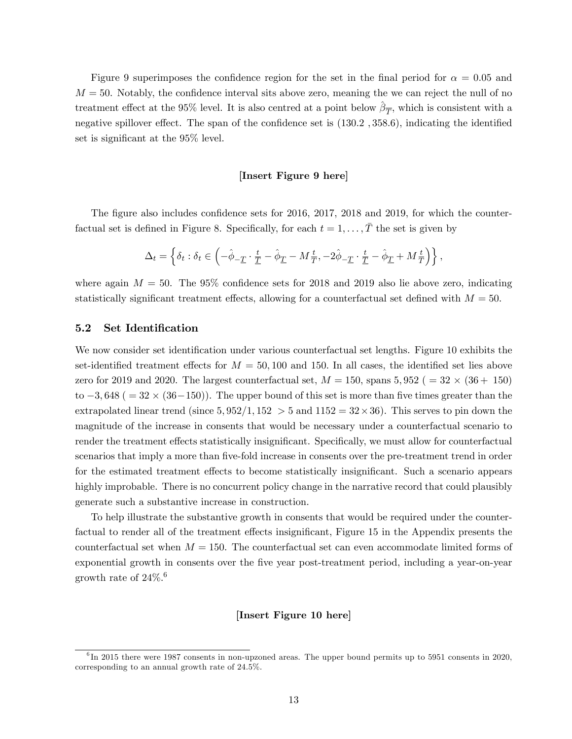Figure 9 superimposes the confidence region for the set in the final period for  $\alpha = 0.05$  and  $M = 50$ . Notably, the confidence interval sits above zero, meaning the we can reject the null of no treatment effect at the 95% level. It is also centred at a point below  $\hat{\beta}_{\overline{T}}$ , which is consistent with a negative spillover effect. The span of the confidence set is  $(130.2, 358.6)$ , indicating the identified set is significant at the  $95\%$  level.

#### [Insert Figure 9 here]

The figure also includes confidence sets for  $2016$ ,  $2017$ ,  $2018$  and  $2019$ , for which the counterfactual set is defined in Figure 8. Specifically, for each  $t = 1, \ldots, \bar{T}$  the set is given by

$$
\Delta_t = \left\{ \delta_t : \delta_t \in \left( -\hat{\phi}_{-\underline{T}} \cdot \frac{t}{\underline{T}} - \hat{\phi}_{\underline{T}} - M\frac{t}{\overline{T}}, -2\hat{\phi}_{-\underline{T}} \cdot \frac{t}{\underline{T}} - \hat{\phi}_{\underline{T}} + M\frac{t}{\overline{T}} \right) \right\},\,
$$

where again  $M = 50$ . The 95% confidence sets for 2018 and 2019 also lie above zero, indicating statistically significant treatment effects, allowing for a counterfactual set defined with  $M = 50$ .

#### 5.2 Set Identification

We now consider set identification under various counterfactual set lengths. Figure 10 exhibits the set-identified treatment effects for  $M = 50,100$  and 150. In all cases, the identified set lies above zero for 2019 and 2020. The largest counterfactual set,  $M = 150$ , spans  $5,952$  ( $= 32 \times (36 + 150)$ to  $-3,648$  ( $= 32 \times (36-150)$ ). The upper bound of this set is more than five times greater than the extrapolated linear trend (since  $5,952/1,152 > 5$  and  $1152 = 32 \times 36$ ). This serves to pin down the magnitude of the increase in consents that would be necessary under a counterfactual scenario to render the treatment effects statistically insignificant. Specifically, we must allow for counterfactual scenarios that imply a more than five-fold increase in consents over the pre-treatment trend in order for the estimated treatment effects to become statistically insignificant. Such a scenario appears highly improbable. There is no concurrent policy change in the narrative record that could plausibly generate such a substantive increase in construction.

To help illustrate the substantive growth in consents that would be required under the counterfactual to render all of the treatment effects insignificant, Figure 15 in the Appendix presents the counterfactual set when  $M = 150$ . The counterfactual set can even accommodate limited forms of exponential growth in consents over the five year post-treatment period, including a year-on-year growth rate of  $24\%$ <sup>6</sup>

#### [Insert Figure 10 here]

<sup>&</sup>lt;sup>6</sup>In 2015 there were 1987 consents in non-upzoned areas. The upper bound permits up to 5951 consents in 2020, corresponding to an annual growth rate of 24.5%.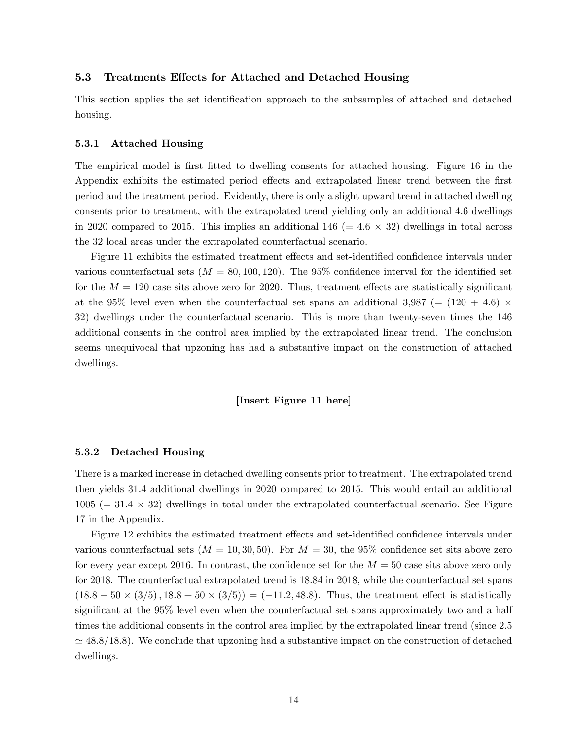#### 5.3 Treatments Effects for Attached and Detached Housing

This section applies the set identification approach to the subsamples of attached and detached housing.

#### 5.3.1 Attached Housing

The empirical model is first fitted to dwelling consents for attached housing. Figure 16 in the Appendix exhibits the estimated period effects and extrapolated linear trend between the first period and the treatment period. Evidently, there is only a slight upward trend in attached dwelling consents prior to treatment, with the extrapolated trend yielding only an additional 4.6 dwellings in 2020 compared to 2015. This implies an additional  $146$  (=  $4.6 \times 32$ ) dwellings in total across the 32 local areas under the extrapolated counterfactual scenario.

Figure 11 exhibits the estimated treatment effects and set-identified confidence intervals under various counterfactual sets  $(M = 80, 100, 120)$ . The 95% confidence interval for the identified set for the  $M = 120$  case sits above zero for 2020. Thus, treatment effects are statistically significant at the 95% level even when the counterfactual set spans an additional 3,987 (=  $(120 + 4.6)$   $\times$ 32) dwellings under the counterfactual scenario. This is more than twenty-seven times the 146 additional consents in the control area implied by the extrapolated linear trend. The conclusion seems unequivocal that upzoning has had a substantive impact on the construction of attached dwellings.

[Insert Figure 11 here]

#### 5.3.2 Detached Housing

There is a marked increase in detached dwelling consents prior to treatment. The extrapolated trend then yields 31.4 additional dwellings in 2020 compared to 2015. This would entail an additional  $1005 (= 31.4 \times 32)$  dwellings in total under the extrapolated counterfactual scenario. See Figure 17 in the Appendix.

Figure 12 exhibits the estimated treatment effects and set-identified confidence intervals under various counterfactual sets  $(M = 10, 30, 50)$ . For  $M = 30$ , the 95% confidence set sits above zero for every year except 2016. In contrast, the confidence set for the  $M = 50$  case sits above zero only for 2018. The counterfactual extrapolated trend is 18.84 in 2018, while the counterfactual set spans  $(18.8 - 50 \times (3/5), 18.8 + 50 \times (3/5)) = (-11.2, 48.8)$ . Thus, the treatment effect is statistically significant at the 95% level even when the counterfactual set spans approximately two and a half times the additional consents in the control area implied by the extrapolated linear trend (since 2.5  $\simeq 48.8/18.8$ ). We conclude that upzoning had a substantive impact on the construction of detached dwellings.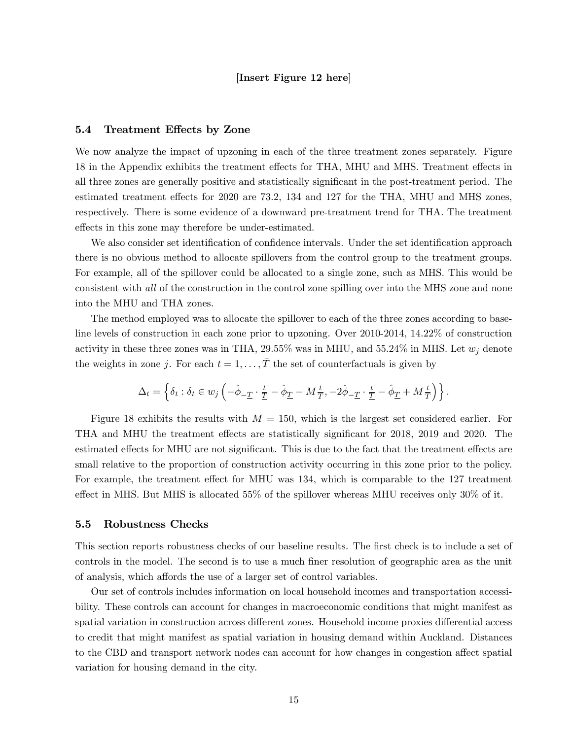#### [Insert Figure 12 here]

#### 5.4 Treatment Effects by Zone

We now analyze the impact of upzoning in each of the three treatment zones separately. Figure 18 in the Appendix exhibits the treatment effects for THA, MHU and MHS. Treatment effects in all three zones are generally positive and statistically significant in the post-treatment period. The estimated treatment effects for 2020 are 73.2, 134 and 127 for the THA, MHU and MHS zones, respectively. There is some evidence of a downward pre-treatment trend for THA. The treatment effects in this zone may therefore be under-estimated.

We also consider set identification of confidence intervals. Under the set identification approach there is no obvious method to allocate spillovers from the control group to the treatment groups. For example, all of the spillover could be allocated to a single zone, such as MHS. This would be consistent with all of the construction in the control zone spilling over into the MHS zone and none into the MHU and THA zones.

The method employed was to allocate the spillover to each of the three zones according to baseline levels of construction in each zone prior to upzoning. Over 2010-2014, 14.22% of construction activity in these three zones was in THA, 29.55% was in MHU, and 55.24% in MHS. Let  $w_i$  denote the weights in zone j. For each  $t = 1, \ldots, \overline{T}$  the set of counterfactuals is given by

$$
\Delta_t = \left\{ \delta_t : \delta_t \in w_j \left( -\hat{\phi}_{-\underline{T}} \cdot \frac{t}{\underline{T}} - \hat{\phi}_{\underline{T}} - M \frac{t}{\overline{T}}, -2\hat{\phi}_{-\underline{T}} \cdot \frac{t}{\underline{T}} - \hat{\phi}_{\underline{T}} + M \frac{t}{\overline{T}} \right) \right\}.
$$

Figure 18 exhibits the results with  $M = 150$ , which is the largest set considered earlier. For THA and MHU the treatment effects are statistically significant for 2018, 2019 and 2020. The estimated effects for MHU are not significant. This is due to the fact that the treatment effects are small relative to the proportion of construction activity occurring in this zone prior to the policy. For example, the treatment effect for MHU was 134, which is comparable to the 127 treatment effect in MHS. But MHS is allocated 55% of the spillover whereas MHU receives only  $30\%$  of it.

#### 5.5 Robustness Checks

This section reports robustness checks of our baseline results. The first check is to include a set of controls in the model. The second is to use a much finer resolution of geographic area as the unit of analysis, which affords the use of a larger set of control variables.

Our set of controls includes information on local household incomes and transportation accessibility. These controls can account for changes in macroeconomic conditions that might manifest as spatial variation in construction across different zones. Household income proxies differential access to credit that might manifest as spatial variation in housing demand within Auckland. Distances to the CBD and transport network nodes can account for how changes in congestion affect spatial variation for housing demand in the city.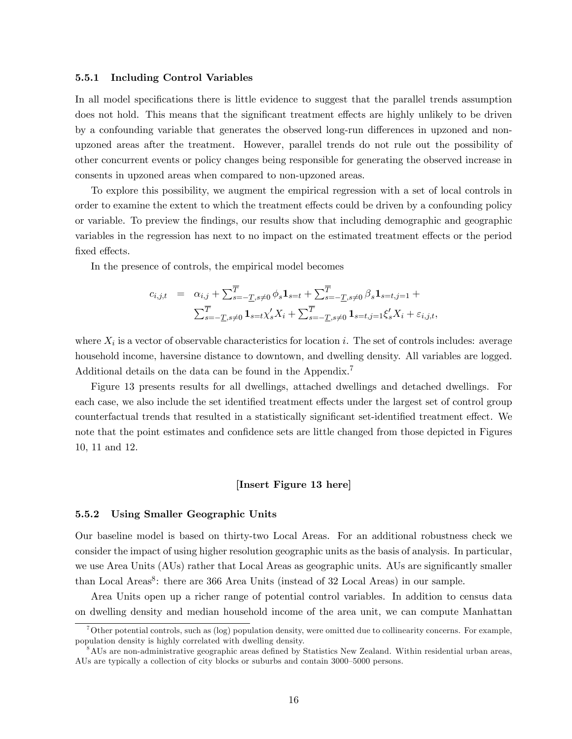#### 5.5.1 Including Control Variables

In all model specifications there is little evidence to suggest that the parallel trends assumption does not hold. This means that the significant treatment effects are highly unlikely to be driven by a confounding variable that generates the observed long-run differences in upzoned and nonupzoned areas after the treatment. However, parallel trends do not rule out the possibility of other concurrent events or policy changes being responsible for generating the observed increase in consents in upzoned areas when compared to non-upzoned areas.

To explore this possibility, we augment the empirical regression with a set of local controls in order to examine the extent to which the treatment effects could be driven by a confounding policy or variable. To preview the Öndings, our results show that including demographic and geographic variables in the regression has next to no impact on the estimated treatment effects or the period fixed effects.

In the presence of controls, the empirical model becomes

$$
c_{i,j,t} = \alpha_{i,j} + \sum_{s=-\underline{T}, s \neq 0}^{\overline{T}} \phi_s \mathbf{1}_{s=t} + \sum_{s=-\underline{T}, s \neq 0}^{\overline{T}} \beta_s \mathbf{1}_{s=t, j=1} + \sum_{s=-\underline{T}, s \neq 0}^{\overline{T}} \mathbf{1}_{s=t, \chi'_s} X_i + \sum_{s=-\underline{T}, s \neq 0}^{\overline{T}} \mathbf{1}_{s=t, j=1} \xi'_s X_i + \varepsilon_{i,j,t},
$$

where  $X_i$  is a vector of observable characteristics for location i. The set of controls includes: average household income, haversine distance to downtown, and dwelling density. All variables are logged. Additional details on the data can be found in the Appendix.<sup>7</sup>

Figure 13 presents results for all dwellings, attached dwellings and detached dwellings. For each case, we also include the set identified treatment effects under the largest set of control group counterfactual trends that resulted in a statistically significant set-identified treatment effect. We note that the point estimates and confidence sets are little changed from those depicted in Figures 10, 11 and 12.

#### [Insert Figure 13 here]

#### 5.5.2 Using Smaller Geographic Units

Our baseline model is based on thirty-two Local Areas. For an additional robustness check we consider the impact of using higher resolution geographic units as the basis of analysis. In particular, we use Area Units (AUs) rather that Local Areas as geographic units. AUs are significantly smaller than Local Areas<sup>8</sup>: there are 366 Area Units (instead of 32 Local Areas) in our sample.

Area Units open up a richer range of potential control variables. In addition to census data on dwelling density and median household income of the area unit, we can compute Manhattan

<sup>&</sup>lt;sup>7</sup>Other potential controls, such as (log) population density, were omitted due to collinearity concerns. For example, population density is highly correlated with dwelling density.

<sup>&</sup>lt;sup>8</sup>AUs are non-administrative geographic areas defined by Statistics New Zealand. Within residential urban areas, AUs are typically a collection of city blocks or suburbs and contain  $3000-5000$  persons.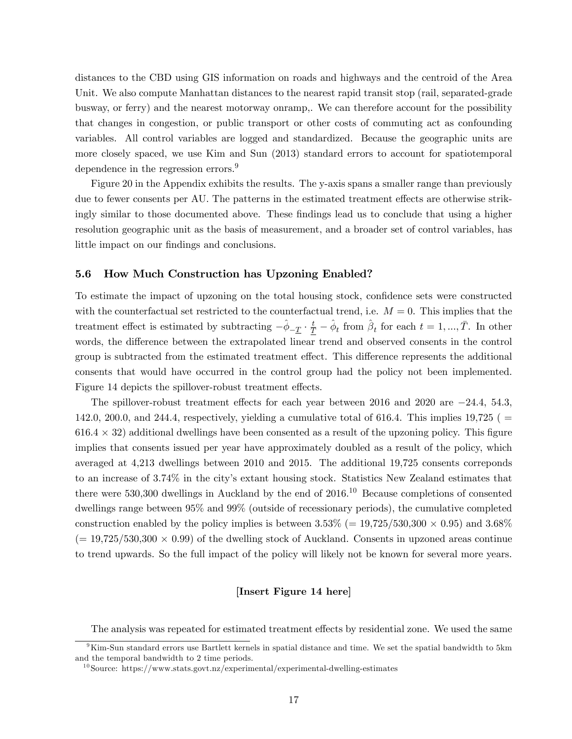distances to the CBD using GIS information on roads and highways and the centroid of the Area Unit. We also compute Manhattan distances to the nearest rapid transit stop (rail, separated-grade busway, or ferry) and the nearest motorway onramp,. We can therefore account for the possibility that changes in congestion, or public transport or other costs of commuting act as confounding variables. All control variables are logged and standardized. Because the geographic units are more closely spaced, we use Kim and Sun (2013) standard errors to account for spatiotemporal dependence in the regression errors.<sup>9</sup>

Figure 20 in the Appendix exhibits the results. The y-axis spans a smaller range than previously due to fewer consents per AU. The patterns in the estimated treatment effects are otherwise strikingly similar to those documented above. These findings lead us to conclude that using a higher resolution geographic unit as the basis of measurement, and a broader set of control variables, has little impact on our findings and conclusions.

#### 5.6 How Much Construction has Upzoning Enabled?

To estimate the impact of upzoning on the total housing stock, confidence sets were constructed with the counterfactual set restricted to the counterfactual trend, i.e.  $M = 0$ . This implies that the treatment effect is estimated by subtracting  $-\hat{\phi}_{-\underline{T}} \cdot \frac{t}{\underline{T}} - \hat{\phi}_t$  from  $\hat{\beta}_t$  for each  $t = 1, ..., \overline{T}$ . In other words, the difference between the extrapolated linear trend and observed consents in the control group is subtracted from the estimated treatment effect. This difference represents the additional consents that would have occurred in the control group had the policy not been implemented. Figure 14 depicts the spillover-robust treatment effects.

The spillover-robust treatment effects for each year between 2016 and 2020 are  $-24.4$ , 54.3, 142.0, 200.0, and 244.4, respectively, yielding a cumulative total of 616.4. This implies 19,725 ( $=$  $616.4 \times 32$ ) additional dwellings have been consented as a result of the upzoning policy. This figure implies that consents issued per year have approximately doubled as a result of the policy, which averaged at 4,213 dwellings between 2010 and 2015. The additional 19,725 consents correponds to an increase of 3.74% in the cityís extant housing stock. Statistics New Zealand estimates that there were 530,300 dwellings in Auckland by the end of  $2016$ .<sup>10</sup> Because completions of consented dwellings range between 95% and 99% (outside of recessionary periods), the cumulative completed construction enabled by the policy implies is between  $3.53\%$  (=  $19,725/530,300 \times 0.95$ ) and  $3.68\%$  $(= 19,725/530,300 \times 0.99)$  of the dwelling stock of Auckland. Consents in upzoned areas continue to trend upwards. So the full impact of the policy will likely not be known for several more years.

#### [Insert Figure 14 here]

The analysis was repeated for estimated treatment effects by residential zone. We used the same

 $9 \text{Kim-Sun standard errors use Bartlett terms in spatial distance and time. We set the spatial bandwidth to 5km.}$ and the temporal bandwidth to 2 time periods.

<sup>10</sup>Source: https://www.stats.govt.nz/experimental/experimental-dwelling-estimates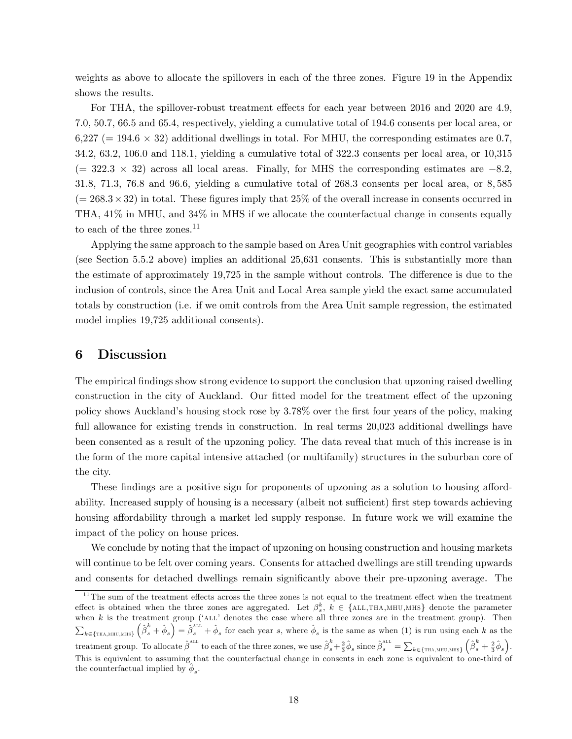weights as above to allocate the spillovers in each of the three zones. Figure 19 in the Appendix shows the results.

For THA, the spillover-robust treatment effects for each year between 2016 and 2020 are 4.9, 7.0, 50.7, 66.5 and 65.4, respectively, yielding a cumulative total of 194.6 consents per local area, or  $6,227$  (= 194.6  $\times$  32) additional dwellings in total. For MHU, the corresponding estimates are 0.7, 34.2, 63.2, 106.0 and 118.1, yielding a cumulative total of 322.3 consents per local area, or 10,315  $(= 322.3 \times 32)$  across all local areas. Finally, for MHS the corresponding estimates are  $-8.2$ , 31:8, 71:3, 76:8 and 96:6, yielding a cumulative total of 268:3 consents per local area, or 8; 585  $(= 268.3 \times 32)$  in total. These figures imply that 25% of the overall increase in consents occurred in THA, 41% in MHU, and 34% in MHS if we allocate the counterfactual change in consents equally to each of the three zones.<sup>11</sup>

Applying the same approach to the sample based on Area Unit geographies with control variables (see Section 5.5.2 above) implies an additional 25,631 consents. This is substantially more than the estimate of approximately 19,725 in the sample without controls. The difference is due to the inclusion of controls, since the Area Unit and Local Area sample yield the exact same accumulated totals by construction (i.e. if we omit controls from the Area Unit sample regression, the estimated model implies 19,725 additional consents).

## 6 Discussion

The empirical findings show strong evidence to support the conclusion that upzoning raised dwelling construction in the city of Auckland. Our fitted model for the treatment effect of the upzoning policy shows Auckland's housing stock rose by 3.78% over the first four years of the policy, making full allowance for existing trends in construction. In real terms 20,023 additional dwellings have been consented as a result of the upzoning policy. The data reveal that much of this increase is in the form of the more capital intensive attached (or multifamily) structures in the suburban core of the city.

These findings are a positive sign for proponents of upzoning as a solution to housing affordability. Increased supply of housing is a necessary (albeit not sufficient) first step towards achieving housing affordability through a market led supply response. In future work we will examine the impact of the policy on house prices.

We conclude by noting that the impact of upzoning on housing construction and housing markets will continue to be felt over coming years. Consents for attached dwellings are still trending upwards and consents for detached dwellings remain significantly above their pre-upzoning average. The

 $11$ The sum of the treatment effects across the three zones is not equal to the treatment effect when the treatment effect is obtained when the three zones are aggregated. Let  $\beta_s^k$ ,  $k \in \{ALL,THA,MHU,MHS\}$  denote the parameter when  $k$  is the treatment group ( $\Delta$ LL $\prime$  denotes the case where all three zones are in the treatment group). Then  $\sum_{k \in \{\text{THA,MHU,MHS}\}} \left(\hat{\beta}_s^k + \hat{\phi}_s\right) = \hat{\beta}_s^{\text{ALL}} + \hat{\phi}_s$  for each year s, where  $\hat{\phi}_s$  is the same as when (1) is run using each k as the  $k \in \{\texttt{THA}, \texttt{MHU}, \texttt{MHS}\}$ treatment group. To allocate  $\hat{\beta}^{\text{ALL}}$  to each of the three zones, we use  $\hat{\beta}^k_s + \frac{2}{3}\hat{\phi}_s$  since  $\hat{\beta}^{\text{ALL}}_s = \sum_{k \in \{\text{TRA, MHU, MHS}\}}$  $\left(\hat{\beta}^k_s + \frac{2}{3}\hat{\phi}_s\right)$ . This is equivalent to assuming that the counterfactual change in consents in each zone is equivalent to one-third of the counterfactual implied by  $\hat{\phi}_s$ .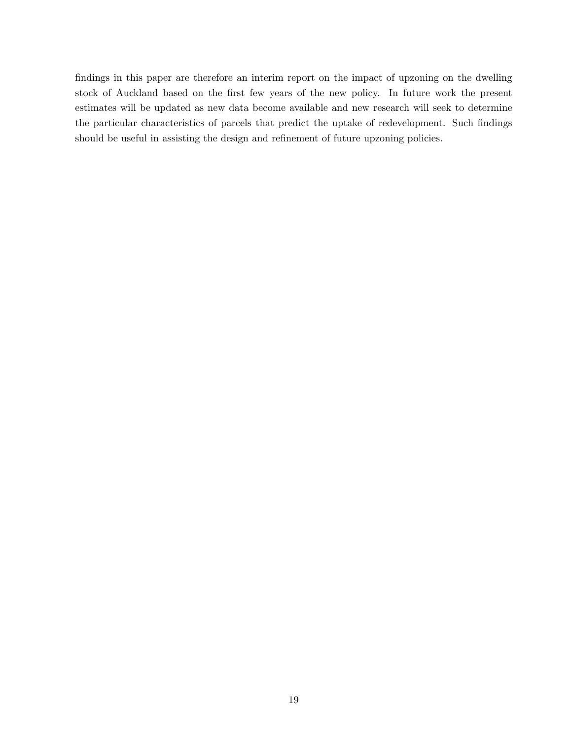findings in this paper are therefore an interim report on the impact of upzoning on the dwelling stock of Auckland based on the first few years of the new policy. In future work the present estimates will be updated as new data become available and new research will seek to determine the particular characteristics of parcels that predict the uptake of redevelopment. Such findings should be useful in assisting the design and refinement of future upzoning policies.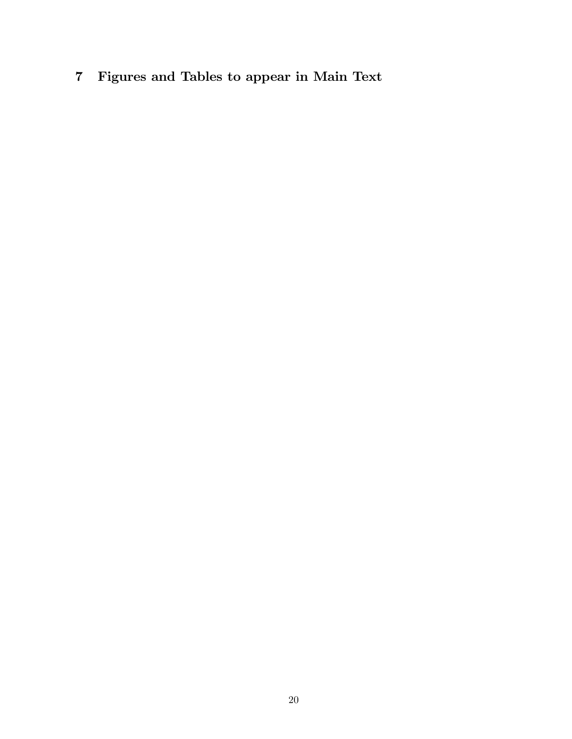7 Figures and Tables to appear in Main Text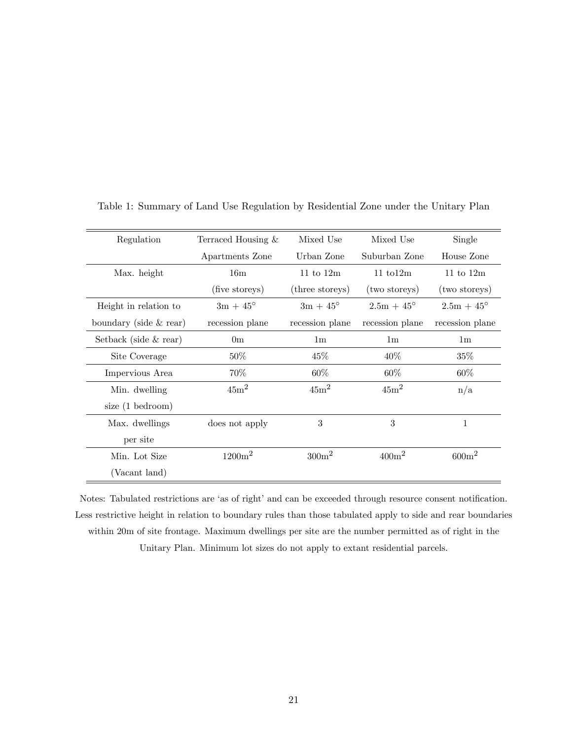| Regulation              | Terraced Housing & | Mixed Use         | Mixed Use            | Single              |
|-------------------------|--------------------|-------------------|----------------------|---------------------|
|                         | Apartments Zone    | Urban Zone        | Suburban Zone        | House Zone          |
| Max. height             | 16 <sub>m</sub>    | 11 to $12m$       | $11 \text{ to } 12m$ | 11 to $12m$         |
|                         | (five storeys)     | (three storeys)   | (two storeys)        | (two storeys)       |
| Height in relation to   | $3m + 45^{\circ}$  | $3m + 45^{\circ}$ | $2.5m + 45^{\circ}$  | $2.5m + 45^{\circ}$ |
| boundary (side & rear)  | recession plane    | recession plane   | recession plane      | recession plane     |
| Setback (side $&$ rear) | 0 <sub>m</sub>     | 1 <sub>m</sub>    | 1 <sub>m</sub>       | 1 <sub>m</sub>      |
| Site Coverage           | $50\%$             | 45%               | $40\%$               | $35\%$              |
| Impervious Area         | 70%                | 60%               | 60%                  | 60%                 |
| Min. dwelling           | $45m^2$            | 45m <sup>2</sup>  | 45m <sup>2</sup>     | n/a                 |
| size $(1$ bedroom)      |                    |                   |                      |                     |
| Max. dwellings          | does not apply     | 3                 | 3                    | 1                   |
| per site                |                    |                   |                      |                     |
| Min. Lot Size           | $1200m^2$          | $300m^2$          | $400m^2$             | $600m^2$            |
| (Vacant land)           |                    |                   |                      |                     |

Table 1: Summary of Land Use Regulation by Residential Zone under the Unitary Plan

Notes: Tabulated restrictions are 'as of right' and can be exceeded through resource consent notification. Less restrictive height in relation to boundary rules than those tabulated apply to side and rear boundaries within 20m of site frontage. Maximum dwellings per site are the number permitted as of right in the Unitary Plan. Minimum lot sizes do not apply to extant residential parcels.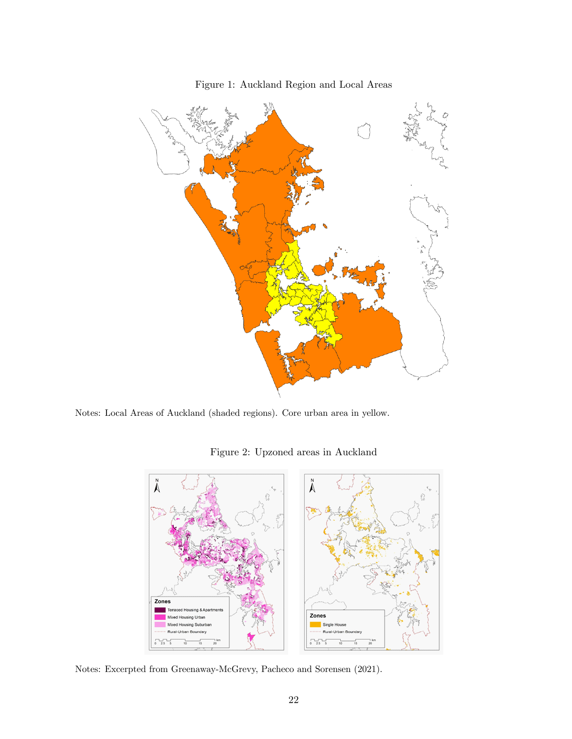

Figure 1: Auckland Region and Local Areas

Notes: Local Areas of Auckland (shaded regions). Core urban area in yellow.

Figure 2: Upzoned areas in Auckland



Notes: Excerpted from Greenaway-McGrevy, Pacheco and Sorensen (2021).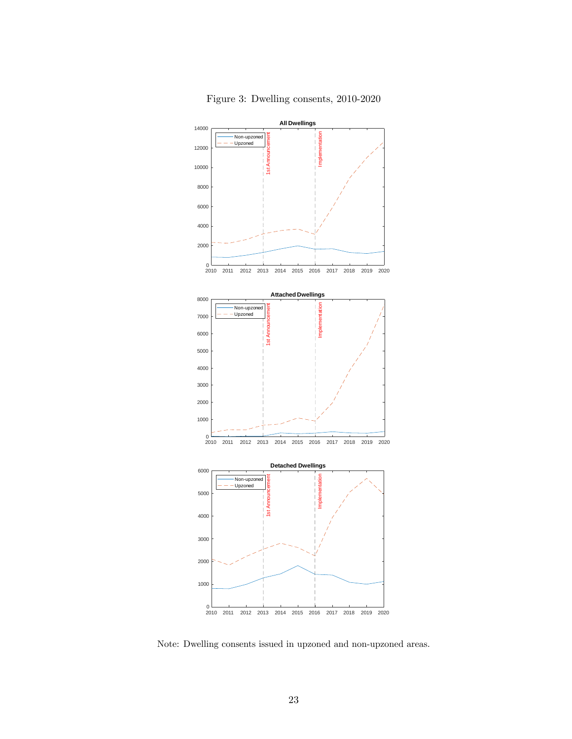



Note: Dwelling consents issued in upzoned and non-upzoned areas.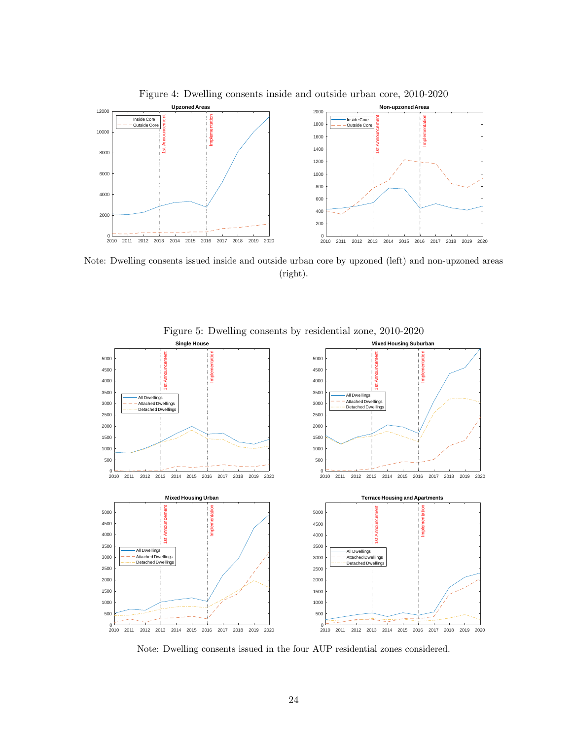

Note: Dwelling consents issued inside and outside urban core by upzoned (left) and non-upzoned areas

(right).



Figure 5: Dwelling consents by residential zone, 2010-2020

Note: Dwelling consents issued in the four AUP residential zones considered.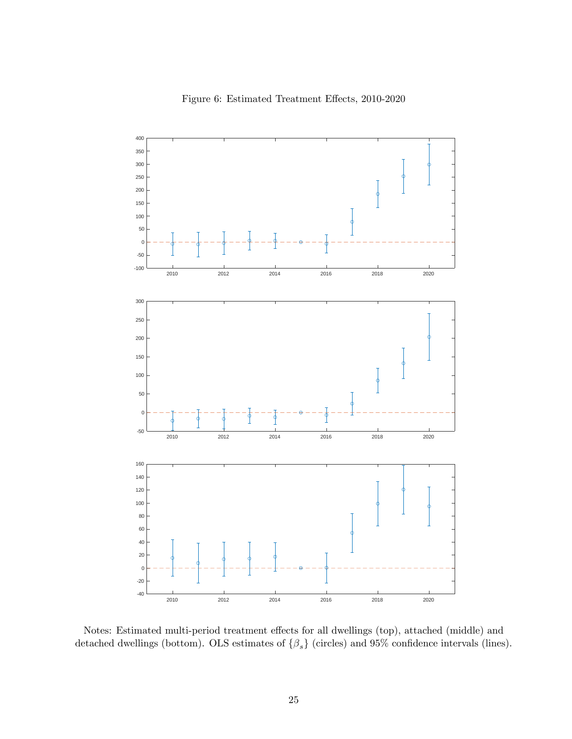



Notes: Estimated multi-period treatment effects for all dwellings (top), attached (middle) and detached dwellings (bottom). OLS estimates of  $\{\beta_s\}$  (circles) and 95% confidence intervals (lines).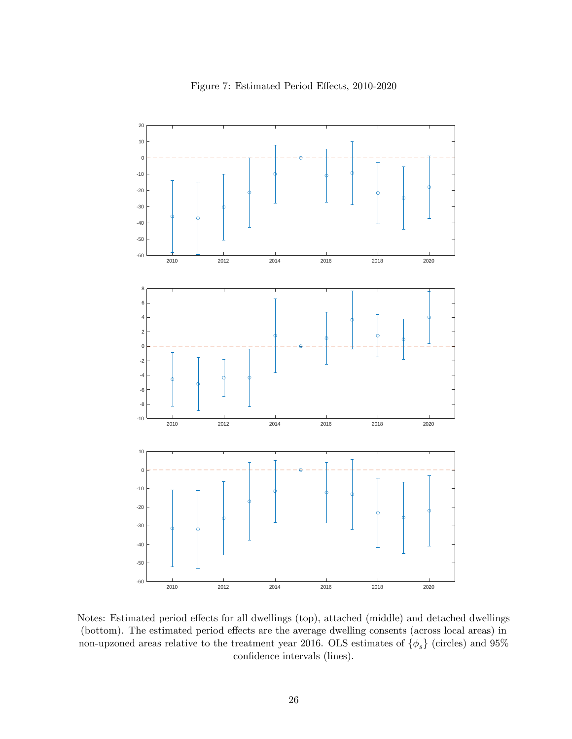

Figure 7: Estimated Period Effects, 2010-2020

Notes: Estimated period effects for all dwellings (top), attached (middle) and detached dwellings (bottom). The estimated period effects are the average dwelling consents (across local areas) in non-upzoned areas relative to the treatment year 2016. OLS estimates of  $\{\phi_s\}$  (circles) and 95% confidence intervals (lines).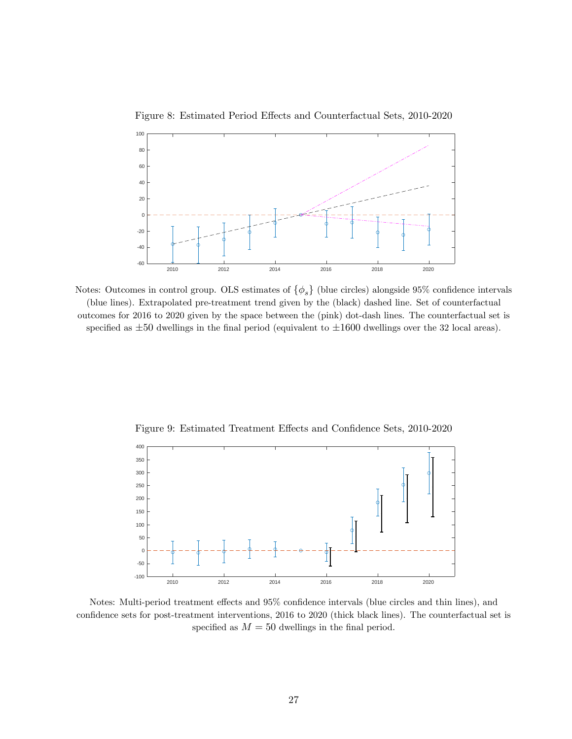



Notes: Outcomes in control group. OLS estimates of  $\{\phi_s\}$  (blue circles) alongside 95% confidence intervals (blue lines). Extrapolated pre-treatment trend given by the (black) dashed line. Set of counterfactual outcomes for 2016 to 2020 given by the space between the (pink) dot-dash lines. The counterfactual set is specified as  $\pm 50$  dwellings in the final period (equivalent to  $\pm 1600$  dwellings over the 32 local areas).



Figure 9: Estimated Treatment Effects and Confidence Sets, 2010-2020

Notes: Multi-period treatment effects and 95% confidence intervals (blue circles and thin lines), and confidence sets for post-treatment interventions, 2016 to 2020 (thick black lines). The counterfactual set is specified as  $M = 50$  dwellings in the final period.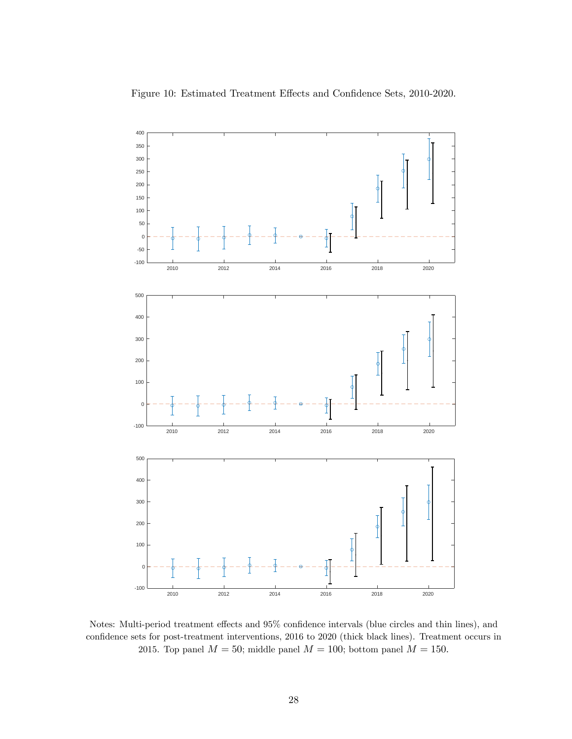

Figure 10: Estimated Treatment Effects and Confidence Sets, 2010-2020.

Notes: Multi-period treatment effects and  $95\%$  confidence intervals (blue circles and thin lines), and confidence sets for post-treatment interventions, 2016 to 2020 (thick black lines). Treatment occurs in 2015. Top panel  $M = 50$ ; middle panel  $M = 100$ ; bottom panel  $M = 150$ .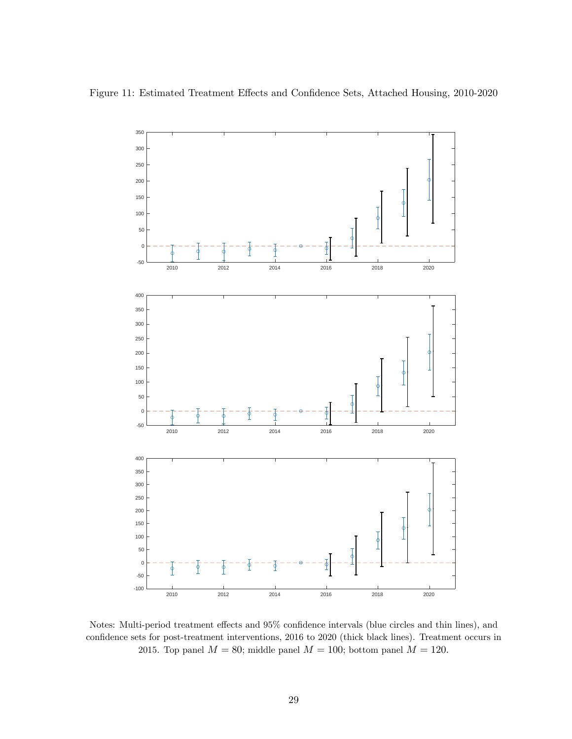

Notes: Multi-period treatment effects and  $95\%$  confidence intervals (blue circles and thin lines), and confidence sets for post-treatment interventions, 2016 to 2020 (thick black lines). Treatment occurs in 2015. Top panel  $M = 80$ ; middle panel  $M = 100$ ; bottom panel  $M = 120$ .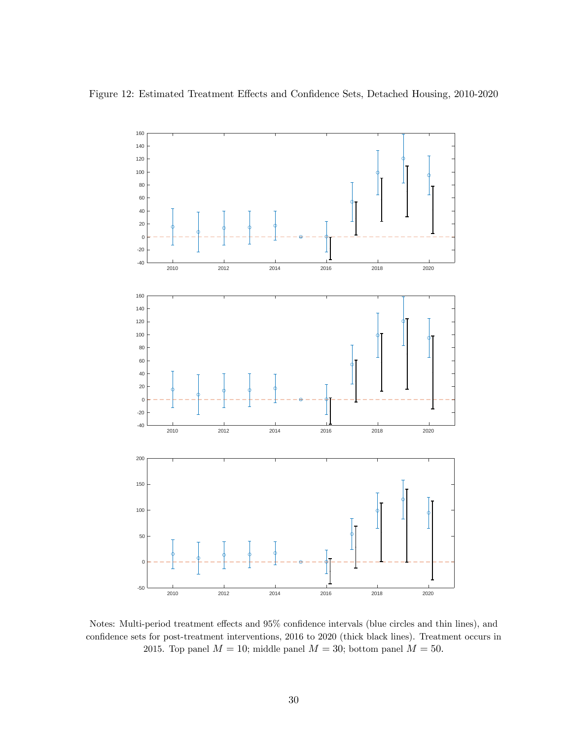

Notes: Multi-period treatment effects and  $95\%$  confidence intervals (blue circles and thin lines), and confidence sets for post-treatment interventions, 2016 to 2020 (thick black lines). Treatment occurs in 2015. Top panel  $M = 10$ ; middle panel  $M = 30$ ; bottom panel  $M = 50$ .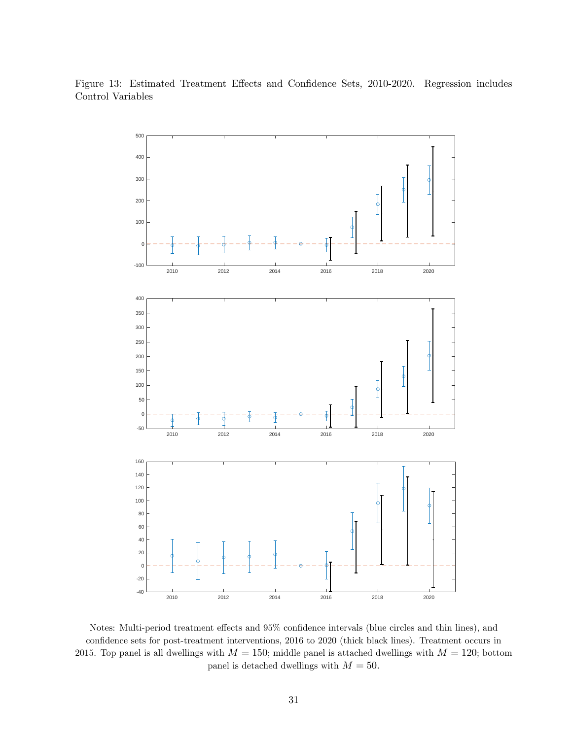

Figure 13: Estimated Treatment Effects and Confidence Sets, 2010-2020. Regression includes Control Variables

Notes: Multi-period treatment effects and  $95\%$  confidence intervals (blue circles and thin lines), and confidence sets for post-treatment interventions, 2016 to 2020 (thick black lines). Treatment occurs in 2015. Top panel is all dwellings with  $M = 150$ ; middle panel is attached dwellings with  $M = 120$ ; bottom panel is detached dwellings with  $M = 50$ .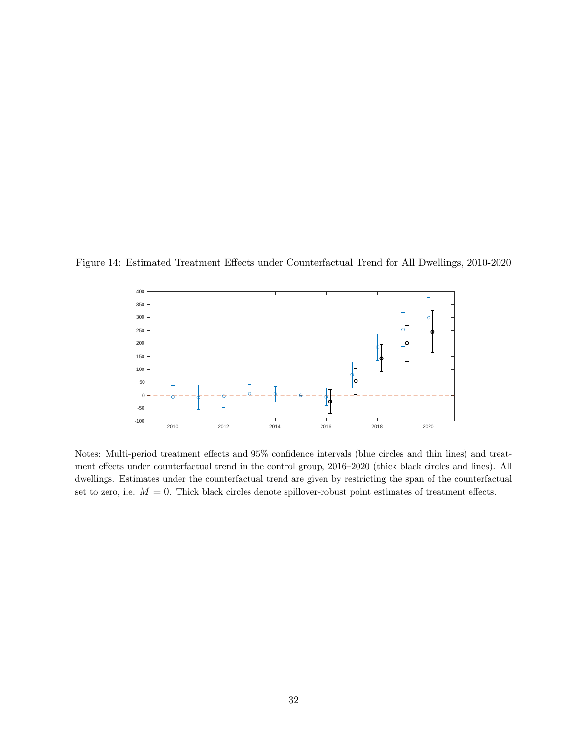Figure 14: Estimated Treatment Effects under Counterfactual Trend for All Dwellings, 2010-2020



Notes: Multi-period treatment effects and  $95\%$  confidence intervals (blue circles and thin lines) and treatment effects under counterfactual trend in the control group, 2016–2020 (thick black circles and lines). All dwellings. Estimates under the counterfactual trend are given by restricting the span of the counterfactual set to zero, i.e.  $M = 0$ . Thick black circles denote spillover-robust point estimates of treatment effects.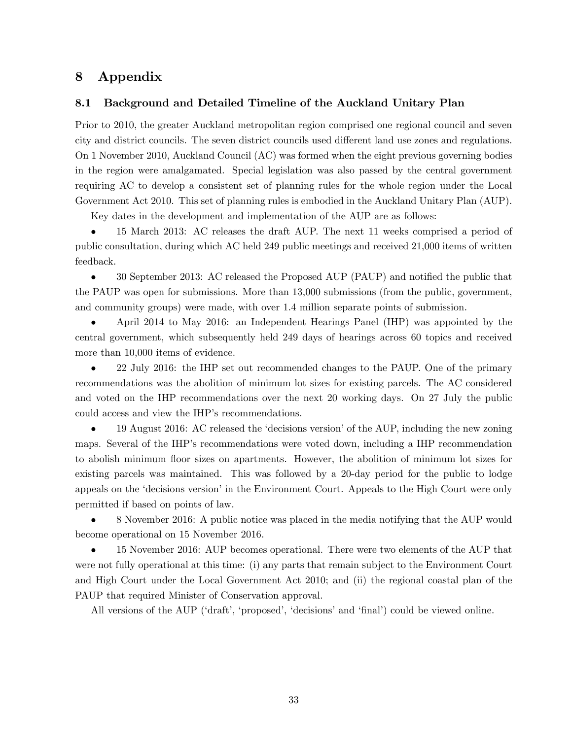## 8 Appendix

#### 8.1 Background and Detailed Timeline of the Auckland Unitary Plan

Prior to 2010, the greater Auckland metropolitan region comprised one regional council and seven city and district councils. The seven district councils used different land use zones and regulations. On 1 November 2010, Auckland Council (AC) was formed when the eight previous governing bodies in the region were amalgamated. Special legislation was also passed by the central government requiring AC to develop a consistent set of planning rules for the whole region under the Local Government Act 2010. This set of planning rules is embodied in the Auckland Unitary Plan (AUP).

Key dates in the development and implementation of the AUP are as follows:

 15 March 2013: AC releases the draft AUP. The next 11 weeks comprised a period of public consultation, during which AC held 249 public meetings and received 21,000 items of written feedback.

 $\bullet$  30 September 2013: AC released the Proposed AUP (PAUP) and notified the public that the PAUP was open for submissions. More than 13,000 submissions (from the public, government, and community groups) were made, with over 1.4 million separate points of submission.

 April 2014 to May 2016: an Independent Hearings Panel (IHP) was appointed by the central government, which subsequently held 249 days of hearings across 60 topics and received more than 10,000 items of evidence.

 22 July 2016: the IHP set out recommended changes to the PAUP. One of the primary recommendations was the abolition of minimum lot sizes for existing parcels. The AC considered and voted on the IHP recommendations over the next 20 working days. On 27 July the public could access and view the IHP's recommendations.

19 August 2016: AC released the 'decisions version' of the AUP, including the new zoning maps. Several of the IHP's recommendations were voted down, including a IHP recommendation to abolish minimum áoor sizes on apartments. However, the abolition of minimum lot sizes for existing parcels was maintained. This was followed by a 20-day period for the public to lodge appeals on the 'decisions version' in the Environment Court. Appeals to the High Court were only permitted if based on points of law.

 8 November 2016: A public notice was placed in the media notifying that the AUP would become operational on 15 November 2016.

 15 November 2016: AUP becomes operational. There were two elements of the AUP that were not fully operational at this time: (i) any parts that remain subject to the Environment Court and High Court under the Local Government Act 2010; and (ii) the regional coastal plan of the PAUP that required Minister of Conservation approval.

All versions of the AUP ('draft', 'proposed', 'decisions' and 'final') could be viewed online.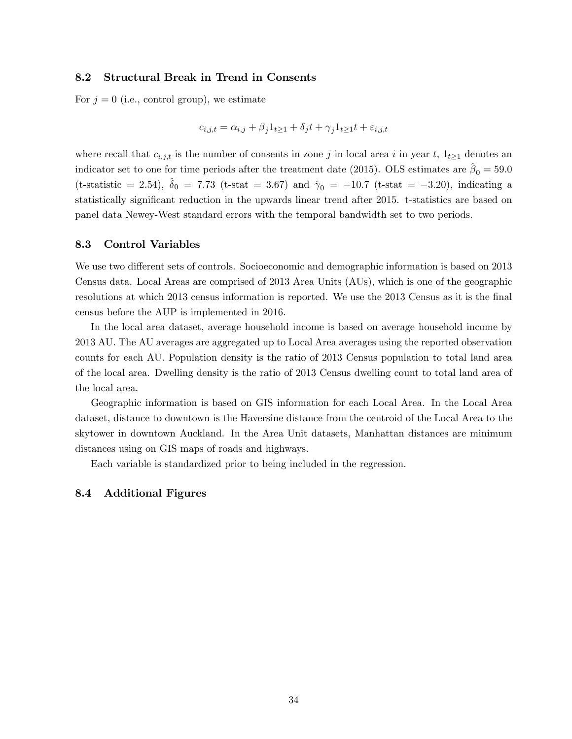#### 8.2 Structural Break in Trend in Consents

For  $j = 0$  (i.e., control group), we estimate

$$
c_{i,j,t} = \alpha_{i,j} + \beta_j 1_{t \ge 1} + \delta_j t + \gamma_j 1_{t \ge 1} t + \varepsilon_{i,j,t}
$$

where recall that  $c_{i,j,t}$  is the number of consents in zone j in local area i in year t,  $1_{t\geq 1}$  denotes an indicator set to one for time periods after the treatment date (2015). OLS estimates are  $\hat{\beta}_0 = 59.0$ (t-statistic = 2.54),  $\delta_0 = 7.73$  (t-stat = 3.67) and  $\hat{\gamma}_0 = -10.7$  (t-stat = -3.20), indicating a statistically significant reduction in the upwards linear trend after 2015. t-statistics are based on panel data Newey-West standard errors with the temporal bandwidth set to two periods.

#### 8.3 Control Variables

We use two different sets of controls. Socioeconomic and demographic information is based on 2013 Census data. Local Areas are comprised of 2013 Area Units (AUs), which is one of the geographic resolutions at which 2013 census information is reported. We use the 2013 Census as it is the final census before the AUP is implemented in 2016.

In the local area dataset, average household income is based on average household income by 2013 AU. The AU averages are aggregated up to Local Area averages using the reported observation counts for each AU. Population density is the ratio of 2013 Census population to total land area of the local area. Dwelling density is the ratio of 2013 Census dwelling count to total land area of the local area.

Geographic information is based on GIS information for each Local Area. In the Local Area dataset, distance to downtown is the Haversine distance from the centroid of the Local Area to the skytower in downtown Auckland. In the Area Unit datasets, Manhattan distances are minimum distances using on GIS maps of roads and highways.

Each variable is standardized prior to being included in the regression.

#### 8.4 Additional Figures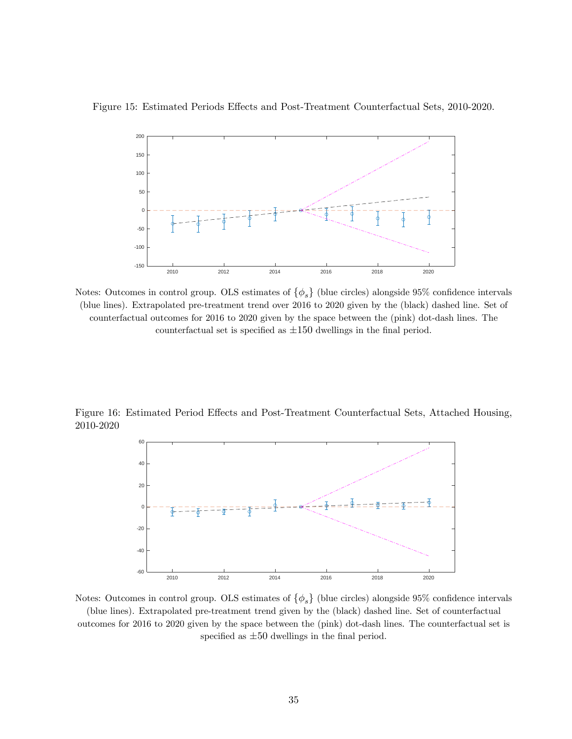

Figure 15: Estimated Periods Effects and Post-Treatment Counterfactual Sets, 2010-2020.

Notes: Outcomes in control group. OLS estimates of  $\{\phi_s\}$  (blue circles) alongside 95% confidence intervals (blue lines). Extrapolated pre-treatment trend over 2016 to 2020 given by the (black) dashed line. Set of counterfactual outcomes for 2016 to 2020 given by the space between the (pink) dot-dash lines. The counterfactual set is specified as  $\pm 150$  dwellings in the final period.

Figure 16: Estimated Period Effects and Post-Treatment Counterfactual Sets, Attached Housing, 2010-2020



Notes: Outcomes in control group. OLS estimates of  $\{\phi_s\}$  (blue circles) alongside 95% confidence intervals (blue lines). Extrapolated pre-treatment trend given by the (black) dashed line. Set of counterfactual outcomes for 2016 to 2020 given by the space between the (pink) dot-dash lines. The counterfactual set is specified as  $\pm 50$  dwellings in the final period.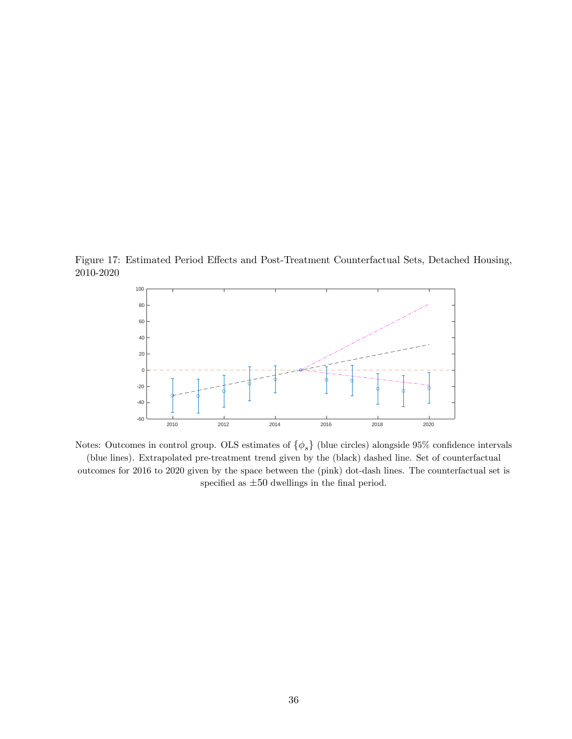Figure 17: Estimated Period Effects and Post-Treatment Counterfactual Sets, Detached Housing, 2010-2020



Notes: Outcomes in control group. OLS estimates of  $\{\phi_s\}$  (blue circles) alongside 95% confidence intervals (blue lines). Extrapolated pre-treatment trend given by the (black) dashed line. Set of counterfactual outcomes for 2016 to 2020 given by the space between the (pink) dot-dash lines. The counterfactual set is specified as  $\pm 50$  dwellings in the final period.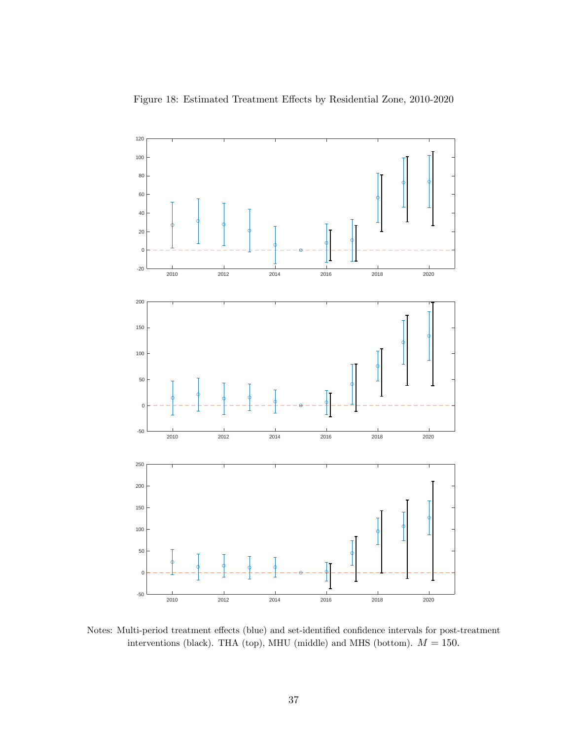



Notes: Multi-period treatment effects (blue) and set-identified confidence intervals for post-treatment interventions (black). THA (top), MHU (middle) and MHS (bottom).  $M = 150$ .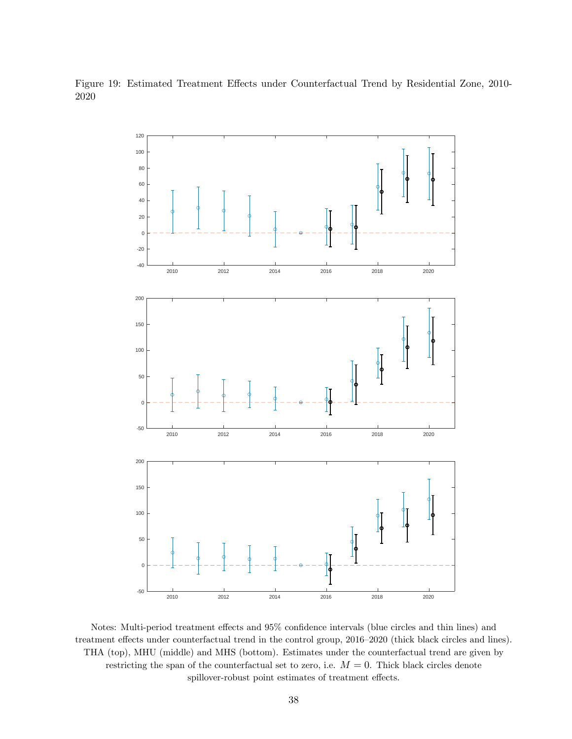Figure 19: Estimated Treatment Effects under Counterfactual Trend by Residential Zone, 2010-



Notes: Multi-period treatment effects and  $95\%$  confidence intervals (blue circles and thin lines) and treatment effects under counterfactual trend in the control group, 2016–2020 (thick black circles and lines). THA (top), MHU (middle) and MHS (bottom). Estimates under the counterfactual trend are given by restricting the span of the counterfactual set to zero, i.e.  $M = 0$ . Thick black circles denote spillover-robust point estimates of treatment effects.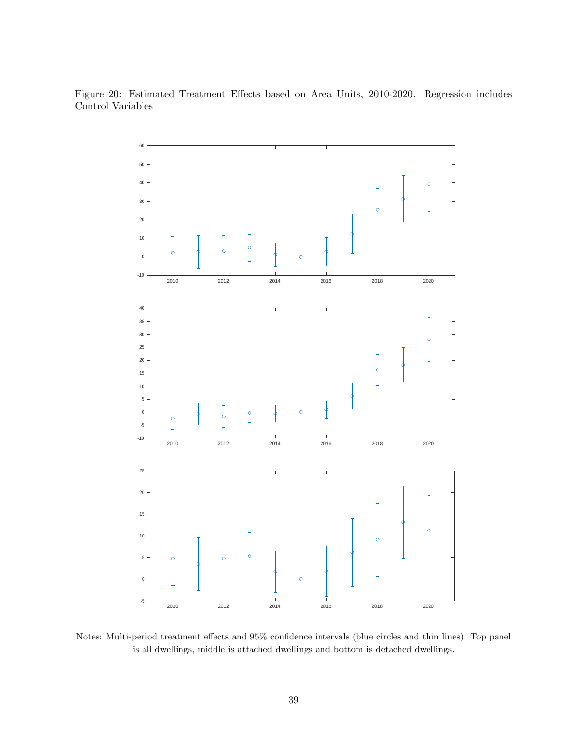Figure 20: Estimated Treatment Effects based on Area Units, 2010-2020. Regression includes Control Variables



Notes: Multi-period treatment effects and 95% confidence intervals (blue circles and thin lines). Top panel is all dwellings, middle is attached dwellings and bottom is detached dwellings: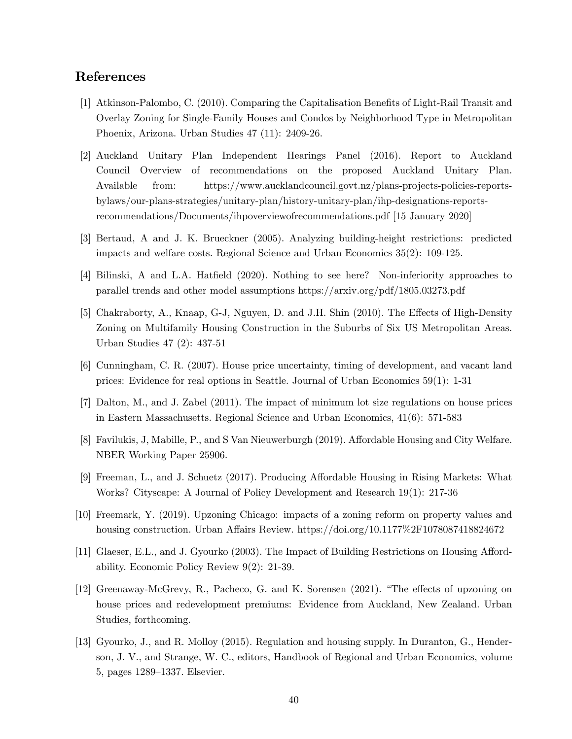## References

- [1] Atkinson-Palombo, C. (2010). Comparing the Capitalisation Benefits of Light-Rail Transit and Overlay Zoning for Single-Family Houses and Condos by Neighborhood Type in Metropolitan Phoenix, Arizona. Urban Studies 47 (11): 2409-26.
- [2] Auckland Unitary Plan Independent Hearings Panel (2016). Report to Auckland Council Overview of recommendations on the proposed Auckland Unitary Plan. Available from: https://www.aucklandcouncil.govt.nz/plans-projects-policies-reportsbylaws/our-plans-strategies/unitary-plan/history-unitary-plan/ihp-designations-reportsrecommendations/Documents/ihpoverviewofrecommendations.pdf [15 January 2020]
- [3] Bertaud, A and J. K. Brueckner (2005). Analyzing building-height restrictions: predicted impacts and welfare costs. Regional Science and Urban Economics 35(2): 109-125.
- [4] Bilinski, A and L.A. Hatfield (2020). Nothing to see here? Non-inferiority approaches to parallel trends and other model assumptions https://arxiv.org/pdf/1805.03273.pdf
- [5] Chakraborty, A., Knaap, G-J, Nguyen, D. and J.H. Shin (2010). The Effects of High-Density Zoning on Multifamily Housing Construction in the Suburbs of Six US Metropolitan Areas. Urban Studies 47 (2): 437-51
- [6] Cunningham, C. R. (2007). House price uncertainty, timing of development, and vacant land prices: Evidence for real options in Seattle. Journal of Urban Economics 59(1): 1-31
- [7] Dalton, M., and J. Zabel (2011). The impact of minimum lot size regulations on house prices in Eastern Massachusetts. Regional Science and Urban Economics, 41(6): 571-583
- [8] Favilukis, J, Mabille, P., and S Van Nieuwerburgh (2019). Affordable Housing and City Welfare. NBER Working Paper 25906.
- [9] Freeman, L., and J. Schuetz (2017). Producing Affordable Housing in Rising Markets: What Works? Cityscape: A Journal of Policy Development and Research 19(1): 217-36
- [10] Freemark, Y. (2019). Upzoning Chicago: impacts of a zoning reform on property values and housing construction. Urban Affairs Review. https://doi.org/10.1177\%2F1078087418824672
- [11] Glaeser, E.L., and J. Gyourko (2003). The Impact of Building Restrictions on Housing Affordability. Economic Policy Review 9(2): 21-39.
- [12] Greenaway-McGrevy, R., Pacheco, G. and K. Sorensen (2021). "The effects of upzoning on house prices and redevelopment premiums: Evidence from Auckland, New Zealand. Urban Studies, forthcoming.
- [13] Gyourko, J., and R. Molloy (2015). Regulation and housing supply. In Duranton, G., Henderson, J. V., and Strange, W. C., editors, Handbook of Regional and Urban Economics, volume 5, pages 1289–1337. Elsevier.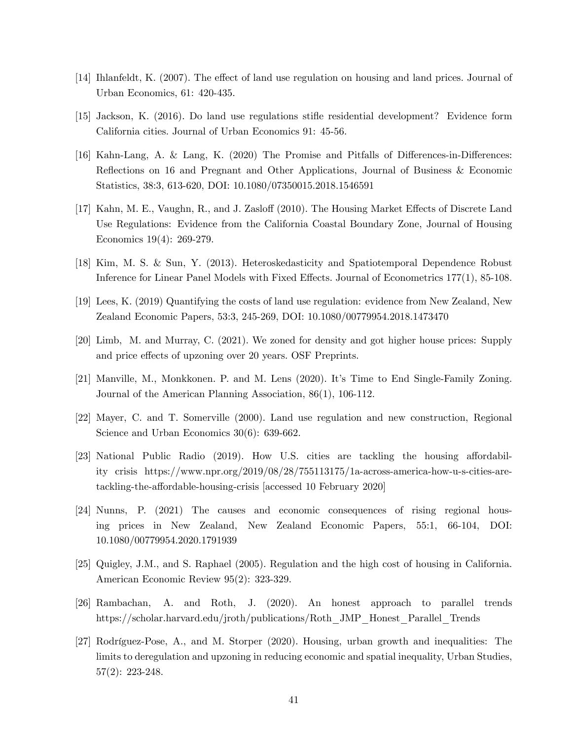- [14] Ihlanfeldt, K. (2007). The effect of land use regulation on housing and land prices. Journal of Urban Economics, 61: 420-435.
- [15] Jackson, K. (2016). Do land use regulations stiáe residential development? Evidence form California cities. Journal of Urban Economics 91: 45-56.
- [16] Kahn-Lang, A. & Lang, K. (2020) The Promise and Pitfalls of Differences-in-Differences: Reflections on 16 and Pregnant and Other Applications, Journal of Business & Economic Statistics, 38:3, 613-620, DOI: 10.1080/07350015.2018.1546591
- [17] Kahn, M. E., Vaughn, R., and J. Zasloff (2010). The Housing Market Effects of Discrete Land Use Regulations: Evidence from the California Coastal Boundary Zone, Journal of Housing Economics 19(4): 269-279.
- [18] Kim, M. S. & Sun, Y. (2013). Heteroskedasticity and Spatiotemporal Dependence Robust Inference for Linear Panel Models with Fixed Effects. Journal of Econometrics 177(1), 85-108.
- [19] Lees, K. (2019) Quantifying the costs of land use regulation: evidence from New Zealand, New Zealand Economic Papers, 53:3, 245-269, DOI: 10.1080/00779954.2018.1473470
- [20] Limb, M. and Murray, C. (2021). We zoned for density and got higher house prices: Supply and price effects of upzoning over 20 years. OSF Preprints.
- [21] Manville, M., Monkkonen. P. and M. Lens (2020). Itís Time to End Single-Family Zoning. Journal of the American Planning Association, 86(1), 106-112.
- [22] Mayer, C. and T. Somerville (2000). Land use regulation and new construction, Regional Science and Urban Economics  $30(6)$ : 639-662.
- [23] National Public Radio (2019). How U.S. cities are tackling the housing affordability crisis https://www.npr.org/2019/08/28/755113175/1a-across-america-how-u-s-cities-aretackling-the-affordable-housing-crisis [accessed 10 February 2020]
- [24] Nunns, P. (2021) The causes and economic consequences of rising regional housing prices in New Zealand, New Zealand Economic Papers, 55:1, 66-104, DOI: 10.1080/00779954.2020.1791939
- [25] Quigley, J.M., and S. Raphael (2005). Regulation and the high cost of housing in California. American Economic Review 95(2): 323-329.
- [26] Rambachan, A. and Roth, J. (2020). An honest approach to parallel trends https://scholar.harvard.edu/jroth/publications/Roth\_JMP\_Honest\_Parallel\_Trends
- [27] Rodríguez-Pose, A., and M. Storper (2020). Housing, urban growth and inequalities: The limits to deregulation and upzoning in reducing economic and spatial inequality, Urban Studies, 57(2): 223-248.